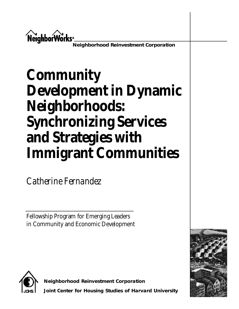

**Neighborhood Reinvestment Corporation**

# **Community Development in Dynamic Neighborhoods: Synchronizing Services** and Strategies with **Immigrant Communities**

*Catherine Fernandez* 

Fellowship Program for Emerging Leaders in Community and Economic Development





**Neighborhood Reinvestment Corporation Joint Center for Housing Studies of Harvard University**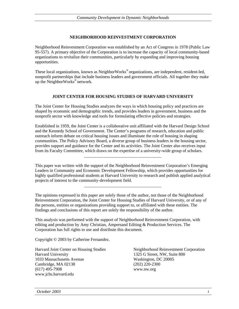#### **NEIGHBORHOOD REINVESTMENT CORPORATION**

Neighborhood Reinvestment Corporation was established by an Act of Congress in 1978 (Public Law 95-557). A primary objective of the Corporation is to increase the capacity of local community-based organizations to revitalize their communities, particularly by expanding and improving housing opportunities.

These local organizations, known as NeighborWorks<sup>®</sup> organizations, are independent, resident-led, nonprofit partnerships that include business leaders and government officials. All together they make up the NeighborWorks® network.

#### **JOINT CENTER FOR HOUSING STUDIES OF HARVARD UNIVERSITY**

The Joint Center for Housing Studies analyzes the ways in which housing policy and practices are shaped by economic and demographic trends, and provides leaders in government, business and the nonprofit sector with knowledge and tools for formulating effective policies and strategies.

Established in 1959, the Joint Center is a collaborative unit affiliated with the Harvard Design School and the Kennedy School of Government. The Center's programs of research, education and public outreach inform debate on critical housing issues and illuminate the role of housing in shaping communities. The Policy Advisory Board, a diverse group of business leaders in the housing sector, provides support and guidance for the Center and its activities. The Joint Center also receives input from its Faculty Committee, which draws on the expertise of a university-wide group of scholars.

This paper was written with the support of the Neighborhood Reinvestment Corporation's Emerging Leaders in Community and Economic Development Fellowship, which provides opportunities for highly qualified professional students at Harvard University to research and publish applied analytical projects of interest to the community-development field.

\_\_\_\_\_\_\_\_\_\_\_\_\_\_\_\_\_\_\_\_\_\_\_\_\_\_\_\_\_\_\_\_\_\_\_\_

\_\_\_\_\_\_\_\_\_\_\_\_\_\_\_\_\_\_\_\_\_\_\_\_\_\_\_\_\_\_\_\_\_\_\_\_

The opinions expressed in this paper are solely those of the author, not those of the Neighborhood Reinvestment Corporation, the Joint Center for Housing Studies of Harvard University, or of any of the persons, entities or organizations providing support to, or affiliated with these entities. The findings and conclusions of this report are solely the responsibility of the author.

This analysis was performed with the support of Neighborhood Reinvestment Corporation, with editing and production by Amy Christian, Ampersand Editing & Production Services. The Corporation has full rights to use and distribute this document.

Copyright © 2003 by Catherine Fernandez.

Harvard University 1325 G Street, NW, Suite 800 1033 Massachusetts Avenue Washington, DC 20005 Cambridge, MA 02138 (202) 220-2300 (617) 495-7908 www.nw.org www.jchs.harvard.edu

Harvard Joint Center on Housing Studies Neighborhood Reinvestment Corporation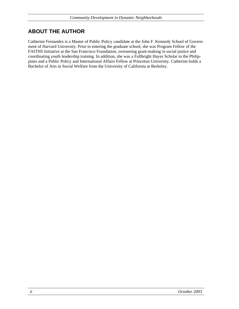# **ABOUT THE AUTHOR**

Catherine Fernandez is a Master of Public Policy candidate at the John F. Kennedy School of Government of Harvard University. Prior to entering the graduate school, she was Program Fellow of the FAITHS Initiative at the San Francisco Foundation, overseeing grant-making in social justice and coordinating youth leadership training. In addition, she was a Fullbright Hayes Scholar to the Philippines and a Public Policy and International Affairs Fellow at Princeton University. Catherine holds a Bachelor of Arts in Social Welfare from the University of California at Berkeley.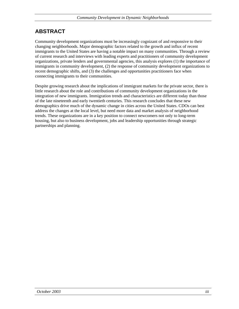# **ABSTRACT**

Community development organizations must be increasingly cognizant of and responsive to their changing neighborhoods. Major demographic factors related to the growth and influx of recent immigrants to the United States are having a notable impact on many communities. Through a review of current research and interviews with leading experts and practitioners of community development organizations, private lenders and governmental agencies, this analysis explores (1) the importance of immigrants in community development, (2) the response of community development organizations to recent demographic shifts, and (3) the challenges and opportunities practitioners face when connecting immigrants to their communities.

Despite growing research about the implications of immigrant markets for the private sector, there is little research about the role and contributions of community development organizations in the integration of new immigrants. Immigration trends and characteristics are different today than those of the late nineteenth and early twentieth centuries. This research concludes that these new demographics drive much of the dynamic change in cities across the United States. CDOs can best address the changes at the local level, but need more data and market analysis of neighborhood trends. These organizations are in a key position to connect newcomers not only to long-term housing, but also to business development, jobs and leadership opportunities through strategic partnerships and planning.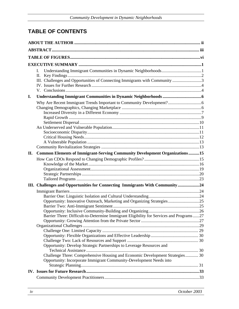# **TABLE OF CONTENTS**

|     | L.<br>II.<br>III. Challenges and Opportunities of Connecting Immigrants with Community 3                                                                                                                                                                                                                                                                                                            |  |  |
|-----|-----------------------------------------------------------------------------------------------------------------------------------------------------------------------------------------------------------------------------------------------------------------------------------------------------------------------------------------------------------------------------------------------------|--|--|
| I.  |                                                                                                                                                                                                                                                                                                                                                                                                     |  |  |
|     |                                                                                                                                                                                                                                                                                                                                                                                                     |  |  |
| II. | Common Elements of Immigrant-Serving Community Development Organizations15                                                                                                                                                                                                                                                                                                                          |  |  |
|     |                                                                                                                                                                                                                                                                                                                                                                                                     |  |  |
|     | III. Challenges and Opportunities for Connecting Immigrants With Community24                                                                                                                                                                                                                                                                                                                        |  |  |
|     | Opportunity: Innovative Outreach, Marketing and Organizing Strategies25<br>Barrier Three: Difficult-to-Determine Immigrant Eligibility for Services and Programs27<br>Opportunity: Develop Strategic Partnerships to Leverage Resources and<br>Challenge Three: Comprehensive Housing and Economic Development Strategies 30<br>Opportunity: Incorporate Immigrant Community-Development Needs into |  |  |
|     |                                                                                                                                                                                                                                                                                                                                                                                                     |  |  |
|     |                                                                                                                                                                                                                                                                                                                                                                                                     |  |  |
|     |                                                                                                                                                                                                                                                                                                                                                                                                     |  |  |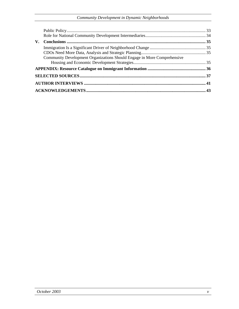| Community Development Organizations Should Engage in More Comprehensive |  |
|-------------------------------------------------------------------------|--|
|                                                                         |  |
|                                                                         |  |
|                                                                         |  |
|                                                                         |  |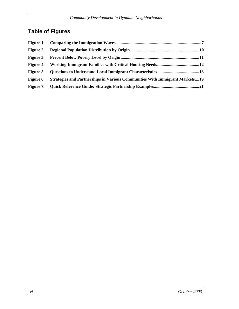# **Table of Figures**

| Figure 6. Strategies and Partnerships in Various Communities With Immigrant Markets19 |  |
|---------------------------------------------------------------------------------------|--|
|                                                                                       |  |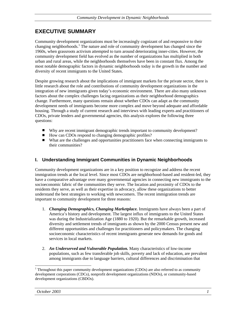# **EXECUTIVE SUMMARY**

Community development organizations must be increasingly cognizant of and responsive to their changing neighborhoods.<sup>1</sup> The nature and role of community development has changed since the 1960s, when grassroots activism attempted to turn around deteriorating inner-cities. However, the community development field has evolved as the number of organizations has multiplied in both urban and rural areas, while the neighborhoods themselves have been in constant flux. Among the most notable demographic factors in dynamic neighborhoods today is the growth in the number and diversity of recent immigrants to the United States.

Despite growing research about the implications of immigrant markets for the private sector, there is little research about the role and contributions of community development organizations in the integration of new immigrants given today's economic environment. There are also many unknown factors about the complex challenges facing organizations as their neighborhood demographics change. Furthermore, many questions remain about whether CDOs can adapt as the community development needs of immigrants become more complex and move beyond adequate and affordable housing. Through a study of current research and interviews with leading experts and practitioners of CDOs, private lenders and governmental agencies, this analysis explores the following three questions:

- Why are recent immigrant demographic trends important to community development?
- How can CDOs respond to changing demographic profiles?
- What are the challenges and opportunities practitioners face when connecting immigrants to their communities?

#### **I. Understanding Immigrant Communities in Dynamic Neighborhoods**

Community development organizations are in a key position to recognize and address the recent immigration trends at the local level. Since most CDOs are neighborhood-based and resident-led, they have a comparative advantage over many governmental agencies in connecting new immigrants to the socioeconomic fabric of the communities they serve. The location and proximity of CDOs to the residents they serve, as well as their expertise in advocacy, allow these organizations to better understand the best strategies to working with newcomers. The recent immigration trends are important to community development for three reasons:

- 1. *Changing Demographics, Changing Marketplace.* Immigrants have always been a part of America's history and development. The largest influx of immigrants to the United States was during the Industrialization Age (1880 to 1920). But the remarkable growth, increased diversity and settlement trends of immigrants as shown by the 2000 Census present new and different opportunities and challenges for practitioners and policymakers. The changing socioeconomic characteristics of recent immigrants generate new demands for goods and services in local markets.
- 2. *An Underserved and Vulnerable Population.* Many characteristics of low-income populations, such as few transferable job skills, poverty and lack of education, are prevalent among immigrants due to language barriers, cultural differences and discrimination that

<sup>&</sup>lt;sup>1</sup> Throughout this paper community development organizations (CDOs) are also referred to as community development corporations (CDCs), nonprofit development organizations (NDOs), or community-based development organizations (CBDOs).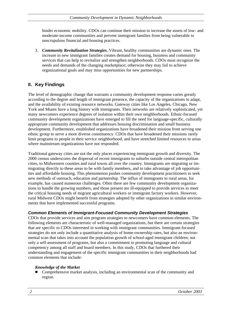hinder economic mobility. CDOs can continue their mission to increase the assets of low- and moderate-income communities and prevent immigrant families from being vulnerable to unscrupulous financial and housing practices.

3. *Community Revitalization Strategies.* Vibrant, healthy communities are dynamic ones. The increase in new immigrant families creates demand for housing, business and community services that can help to revitalize and strengthen neighborhoods. CDOs must recognize the needs and demands of the changing marketplace; otherwise they may fail to achieve organizational goals and may miss opportunities for new partnerships.

#### **II. Key Findings**

The level of demographic change that warrants a community development response varies greatly according to the degree and length of immigrant presence, the capacity of the organizations to adapt, and the availability of existing resource networks. Gateway cities like Los Angeles, Chicago, New York and Miami have a long history with immigrants. Their networks are relatively sophisticated, yet many newcomers experience degrees of isolation within their own neighborhoods. Ethnic-focused community development organizations have emerged to fill the need for language-specific, culturally appropriate community development that addresses housing discrimination and small business development. Furthermore, established organizations have broadened their mission from serving one ethnic group to serve a more diverse constituency. CDOs that have broadened their missions rarely limit programs to people in their service neighborhood, and have stretched limited resources to areas where mainstream organizations have not responded.

Traditional gateway cities are not the only places experiencing immigrant growth and diversity. The 2000 census underscores the dispersal of recent immigrants to suburbs outside central metropolitan cities, to Midwestern counties and rural towns all over the country. Immigrants are migrating or immigrating directly to these areas to be with family members, and to take advantage of job opportunities and affordable housing. This phenomenon pushes community development practitioners to seek new methods of outreach, education and partnership. The influx of immigrants to rural areas, for example, has caused numerous challenges. Often there are few community development organizations to handle the growing numbers, and those present are ill-equipped to provide services to meet the critical housing needs of migrant agricultural workers or immigrant factory workers. However, rural Midwest CDOs might benefit from strategies adopted by other organizations in similar environments that have implemented successful programs.

#### *Common Elements of Immigrant-Focused Community Development Strategies*

CDOs that provide services and aim program strategies to newcomers have common elements. The following elements are characteristic of well-managed organizations, but there are certain strategies that are specific to CDOs interested in working with immigrant communities. Immigrant-focused strategies do not only include a quantitative analysis of home-ownership rates, but also an environmental scan that takes into account the population growth of school-aged immigrant children; not only a self-assessment of programs, but also a commitment to promoting language and cultural competency among all staff and board members. In this study, CDOs that furthered their understanding and engagement of the specific immigrant communities in their neighborhoods had common elements that include:

#### *Knowledge of the Market*

 Comprehensive market analysis, including an environmental scan of the community and region.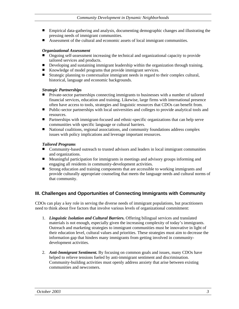- Empirical data-gathering and analysis, documenting demographic changes and illustrating the pressing needs of immigrant communities.
- Assessment of the cultural and economic assets of local immigrant communities.

#### *Organizational Assessment*

- Ongoing self-assessment increasing the technical and organizational capacity to provide tailored services and products.
- Developing and sustaining immigrant leadership within the organization through training.
- Knowledge of model programs that provide immigrant services.
- Strategic planning to contextualize immigrant needs in regard to their complex cultural, historical, language and economic backgrounds.

#### *Strategic Partnerships*

- **Private-sector partnerships connecting immigrants to businesses with a number of tailored** financial services, education and training. Likewise, large firms with international presence often have access to tools, strategies and linguistic resources that CDOs can benefit from.
- Public-sector partnerships with local universities and colleges to provide analytical tools and resources.
- Partnerships with immigrant-focused and ethnic-specific organizations that can help serve communities with specific language or cultural barriers.
- National coalitions, regional associations, and community foundations address complex issues with policy implications and leverage important resources.

#### *Tailored Programs*

- Community-based outreach to trusted advisors and leaders in local immigrant communities and organizations.
- Meaningful participation for immigrants in meetings and advisory groups informing and engaging all residents in community-development activities.
- Strong education and training components that are accessible to working immigrants and provide culturally appropriate counseling that meets the language needs and cultural norms of that community.

#### **III. Challenges and Opportunities of Connecting Immigrants with Community**

CDOs can play a key role in serving the diverse needs of immigrant populations, but practitioners need to think about five factors that involve various levels of organizational commitment:

- 1. *Linguistic Isolation and Cultural Barriers.* Offering bilingual services and translated materials is not enough, especially given the increasing complexity of today's immigrants. Outreach and marketing strategies to immigrant communities must be innovative in light of their education level, cultural values and priorities. These strategies must aim to decrease the information gap that hinders many immigrants from getting involved in communitydevelopment activities.
- 2. *Anti-Immigrant Sentiment.* By focusing on common goals and issues, many CDOs have helped to relieve tensions fueled by anti-immigrant sentiment and discrimination. Community-building activities must openly address anxiety that arise between existing communities and newcomers.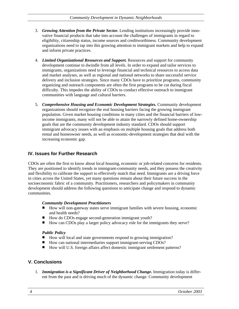- 3. *Growing Attention from the Private Sector.* Lending institutions increasingly provide innovative financial products that take into account the challenges of immigrants in regard to eligibility, citizenship status, income sources and creditworthiness. Community development organizations need to tap into this growing attention to immigrant markets and help to expand and inform private practices.
- 4. *Limited Organizational Resources and Support.* Resources and support for community development continue to dwindle from all levels. In order to expand and tailor services to immigrants, organizations need to leverage financial and technical resources to access data and market analyses, as well as regional and national networks to share successful service delivery and inclusion strategies. Since many CDOs have to prioritize programs, community organizing and outreach components are often the first programs to be cut during fiscal difficulty. This impedes the ability of CDOs to conduct effective outreach to immigrant communities with language and cultural barriers.
- 5. *Comprehensive Housing and Economic Development Strategies.* Community development organizations should recognize the real housing barriers facing the growing immigrant population. Given market housing conditions in many cities and the financial barriers of lowincome immigrants, many will not be able to attain the narrowly defined home-ownership goals that are the community development industry standard. CDOs should support immigrant advocacy issues with an emphasis on multiple housing goals that address both rental and homeowner needs, as well as economic-development strategies that deal with the increasing economic gap.

#### **IV. Issues for Further Research**

CDOs are often the first to know about local housing, economic or job-related concerns for residents. They are positioned to identify trends in immigrant-community needs, and they possess the creativity and flexibility to calibrate the support to effectively match that need. Immigrants are a driving force in cities across the United States, yet many questions remain about their future success in the socioeconomic fabric of a community. Practitioners, researchers and policymakers in community development should address the following questions to anticipate change and respond to dynamic communities.

#### *Community Development Practitioners*

- How will non-gateway states serve immigrant families with severe housing, economic and health needs?
- How do CDOs engage second-generation immigrant youth?
- How can CDOs play a larger policy advocacy role for the immigrants they serve?

#### *Public Policy*

- How will local and state governments respond to growing immigration?
- How can national intermediaries support immigrant-serving CDOs?
- How will U.S. foreign affairs affect domestic immigrant settlement patterns?

#### **V. Conclusions**

1. *Immigration is a Significant Driver of Neighborhood Change.* Immigration today is different from the past and is driving much of the dynamic change. Community development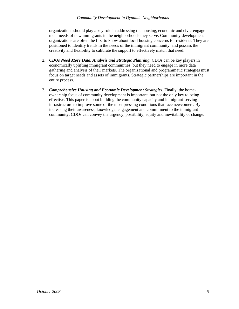organizations should play a key role in addressing the housing, economic and civic-engagement needs of new immigrants in the neighborhoods they serve. Community development organizations are often the first to know about local housing concerns for residents. They are positioned to identify trends in the needs of the immigrant community, and possess the creativity and flexibility to calibrate the support to effectively match that need.

- 2. *CDOs Need More Data, Analysis and Strategic Planning.* CDOs can be key players in economically uplifting immigrant communities, but they need to engage in more data gathering and analysis of their markets. The organizational and programmatic strategies must focus on target needs and assets of immigrants. Strategic partnerships are important in the entire process.
- 3. *Comprehensive Housing and Economic Development Strategies.* Finally, the homeownership focus of community development is important, but not the only key to being effective. This paper is about building the community capacity and immigrant-serving infrastructure to improve some of the most pressing conditions that face newcomers. By increasing their awareness, knowledge, engagement and commitment to the immigrant community, CDOs can convey the urgency, possibility, equity and inevitability of change.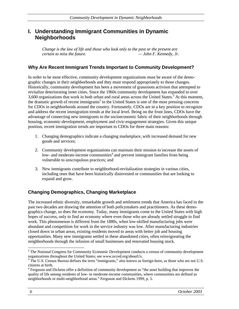# **I. Understanding Immigrant Communities in Dynamic Neighborhoods**

*Change is the law of life and those who look only to the past or the present are certain to miss the future. — John F. Kennedy, Jr.* 

#### **Why Are Recent Immigrant Trends Important to Community Development?**

In order to be most effective, community development organizations must be aware of the demographic changes in their neighborhoods and they must respond appropriately to those changes. Historically, community development has been a movement of grassroots activism that attempted to revitalize deteriorating inner cities. Since the 1960s community development has expanded to over 3,600 organizations that work in both urban and rural areas across the United States.<sup>2</sup> At this moment, the dramatic growth of recent immigrants<sup>3</sup> to the United States is one of the most pressing concerns for CDOs in neighborhoods around the country. Fortunately, CDOs are in a key position to recognize and address the recent immigration trends at the local level. Being on the front lines, CDOs have the advantage of connecting new immigrants to the socioeconomic fabric of their neighborhoods through housing, economic-development, employment and civic-engagement strategies. Given this unique position, recent immigration trends are important to CDOs for three main reasons:

- 1. Changing demographics indicate a changing marketplace, with increased demand for new goods and services;
- 2. Community development organizations can maintain their mission to increase the assets of low- and moderate-income communities<sup>4</sup> and prevent immigrant families from being vulnerable to unscrupulous practices; and
- 3. New immigrants contribute to neighborhood-revitalization strategies in various cities, including ones that have been historically disinvested or communities that are looking to expand and grow.

#### **Changing Demographics, Changing Marketplace**

The increased ethnic diversity, remarkable growth and settlement trends that America has faced in the past two decades are drawing the attention of both policymakers and practitioners. As these demographics change, so does the economy. Today, many immigrants come to the United States with high hopes of success, only to find an economy where even those who are already settled struggle to find work. This phenomenon is different from the 1880s, when low-skilled manufacturing jobs were abundant and competition for work in the service industry was low. After manufacturing industries closed down in urban areas, existing residents moved to areas with better job and housing opportunities. Many new immigrants settled in these abandoned cities, often reinvigorating the neighborhoods through the infusion of small businesses and renovated housing stock.

 $2^2$  The National Congress for Community Economic Development conducts a census of community development organizations throughout the United States; see www.ncced.org/aboutUs.

<sup>&</sup>lt;sup>3</sup> The U.S. Census Bureau defines the term "immigrants," also known as foreign-born, as those who are not U.S. citizens at birth.

<sup>&</sup>lt;sup>4</sup> Ferguson and Dickens offer a definition of community development as "the asset building that improves the quality of life among residents of low- to moderate-income communities, where communities are defined as neighborhoods or multi-neighborhood areas." Ferguson and Dickens 1999, p. 5.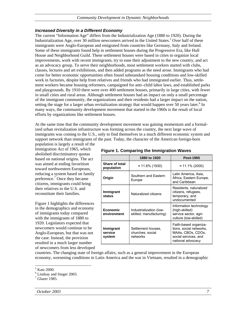#### *Increased Diversity in a Different Economy*

The current "Information Age" differs from the Industrialization Age (1880 to 1920). During the Industrialization Age, over  $\overline{30}$  million newcomers arrived in the United States.<sup>5</sup> Over half of these immigrants were Anglo-European and emigrated from countries like Germany, Italy and Ireland. Some of these immigrants found help in settlement houses during the Progressive Era, like Hull House and Neighborhood Guild. These settlement houses were based in cities to organize local improvements, work with recent immigrants, try to ease their adjustment to the new country, and act as an advocacy group. To serve their neighborhoods, most settlement workers started with clubs, classes, lectures and art exhibitions, and then added programs as the need arose. Immigrants who had come for better economic opportunities often found substandard housing conditions and low-skilled work in factories, despite help from relatives and friends who had immigrated earlier. Thus, settlement workers became housing reformers, campaigned for anti–child labor laws, and established parks and playgrounds. By 1910 there were over 400 settlement houses, primarily in large cities, with fewer in small cities and rural areas. Although settlement houses had an impact on only a small percentage of the immigrant community, the organizations and their residents had a larger impact on the nation, setting the stage for a larger urban revitalization strategy that would happen over 50 years later.<sup>6</sup> In many ways, the community development movement that started in the 1960s is the result of local efforts by organizations like settlement houses.

At the same time that the community development movement was gaining momentum and a formalized urban revitalization infrastructure was forming across the country, the next large wave of immigrants was coming to the U.S., only to find themselves in a much different economic system and support network than immigrants of the past. Today, the character of the American foreign-born

population is largely a result of the Immigration Act of 1965, which abolished discriminatory quotas based on national origins. The act was aimed at ending favoritism toward northwestern Europeans, reducing a system based on family preference. $\frac{7}{1}$  Once they became citizens, immigrants could bring their relatives to the U.S. and reconstitute their families.

Figure 1 highlights the differences in the demographics and economy of immigrants today compared with the immigrants of 1880 to 1920. Legislators expected that newcomers would continue to be Anglo-European, but that was not the case. Instead, the provision resulted in a much larger number of newcomers from less developed

#### **Figure 1. Comparing the Immigration Waves**

|                                | 1880 to 1920                                       | <b>Post-1965</b>                                                                                                   |
|--------------------------------|----------------------------------------------------|--------------------------------------------------------------------------------------------------------------------|
| Share of total<br>population   | ≈ 11.6% (1930)                                     | $\approx$ 11.1% (2000)                                                                                             |
| Origin                         | Southern and Eastern<br>Europe                     | Latin America, Asia,<br>Africa, Eastern Europe,<br>and Caribbean                                                   |
| Immigrant<br>status            | Naturalized citizens                               | Residents, naturalized<br>citizens, refugees,<br>temporary, and<br>undocumented                                    |
| <b>Economic</b><br>environment | Industrialization (low-<br>skilled; manufacturing) | Information technology<br>(high-skilled)<br>service sector, agri-<br>culture (low-skilled)                         |
| Immigrant<br>service<br>system | Settlement houses,<br>churches, social<br>networks | Faith-based organiza-<br>tions, social networks,<br>MAAs, CBOs, CDOs,<br>social services, and<br>national advocacy |

countries. The changing state of foreign affairs, such as a general improvement in the European economy, worsening conditions in Latin America and the war in Vietnam, resulted in a demographic

<sup>&</sup>lt;sup>5</sup> Katz 2000.

<sup>6</sup> Lindsay and Singer 2003.

<sup>7</sup> Glazer 1985.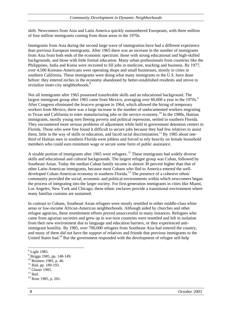shift. Newcomers from Asia and Latin America quickly outnumbered Europeans, with three million of four million immigrants coming from those areas in the 1970s.

Immigrants from Asia during the second large wave of immigration have had a different experience than previous European immigrants. After 1965 there was an increase in the number of immigrants from Asia from both ends of the economic spectrum: those with strong educational and high-skilled backgrounds, and those with little formal education. Many urban professionals from countries like the Philippines, India and Korea were recruited to fill jobs in medicine, teaching and business. By 1977, over 4,500 Koreans-Americans were operating shops and small businesses, mostly in cities in southern California. These immigrants were doing what many immigrants to the U.S. have done before: they entered niches in the economy abandoned by better-established residents and strove to revitalize inner-city neighborhoods.<sup>8</sup>

Not all immigrants after 1965 possessed transferable skills and an educational background. The largest immigrant group after 1965 came from Mexico, averaging over 60,000 a year in the 1970s.<sup>9</sup> After Congress eliminated the *bracero* program in 1964, which allowed the hiring of temporary workers from Mexico, there was a large increase in the number of undocumented workers migrating to Texas and California to enter manufacturing jobs or the service economy.<sup>10</sup> In the 1980s, Haitian immigrants, mostly young men fleeing poverty and political repression, settled in southern Florida. They encountered more serious problems of adjustment while held in government detention centers in Florida. Those who were free found it difficult to secure jobs because they had few relatives to assist them, little in the way of skills or education, and faced racial discrimination.<sup>11</sup> By 1985 about onethird of Haitian men in southern Florida were jobless and forced to rely heavily on female household members who could earn minimum wage or secure some form of public assistance.

A sizable portion of immigrants after 1965 were refugees.<sup>12</sup> These immigrants had widely diverse skills and educational and cultural backgrounds. The largest refugee group was Cuban, followed by Southeast Asian. Today the median Cuban family income is almost 30 percent higher than that of other Latin-American immigrants, because most Cubans who fled to America entered the welldeveloped Cuban-American economy in southern Florida.<sup>13</sup> The presence of a cohesive ethnic community provided the social, economic and political environments within which newcomers began the process of integrating into the larger society. For first-generation immigrants in cities like Miami, Los Angeles, New York and Chicago, these ethnic enclaves provide a transitional environment where many familiar customs are sustained.

In contrast to Cubans, Southeast Asian refugees were mostly resettled in either middle-class white areas or low-income African-American neighborhoods. Although aided by churches and other refugee agencies, these resettlement efforts proved unsuccessful in many instances. Refugees who came from agrarian societies and grew up in war-torn countries were resettled and left in isolation from their new environment due to language and education barriers, or they experienced antiimmigrant hostility. By 1985, over 700,000 refugees from Southeast Asia had entered the country, and many of them did not have the support of relatives and friends that previous immigrants to the United States had.<sup>14</sup> But the government responded with the development of refugee self-help

<sup>8</sup> Light 1985.

<sup>9</sup> Briggs 1985, pp. 148-149.

<sup>&</sup>lt;sup>10</sup> Reimers 1985, p. 46.

<sup>&</sup>lt;sup>11</sup> Ibid, pp. 189-193.

<sup>&</sup>lt;sup>12</sup> Glazer 1985.

 $13$  Ibid.

 $14$  Rose 1985, p. 201.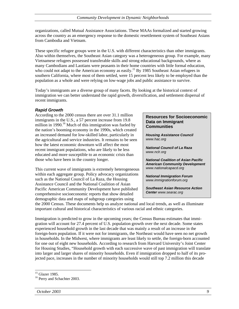organizations, called Mutual Assistance Associations. These MAAs formalized and started growing across the country as an emergency response to the domestic resettlement system of Southeast Asians from Cambodia and Vietnam.

These specific refugee groups were in the U.S. with different characteristics than other immigrants. Also within themselves, the Southeast Asian category was a heterogeneous group. For example, many Vietnamese refugees possessed transferable skills and strong educational backgrounds, where as many Cambodians and Laotians were peasants in their home countries with little formal education, who could not adapt to the American economy as easily.<sup>15</sup> By 1985 Southeast Asian refugees in southern California, where most of them settled, were 15 percent less likely to be employed than the population as a whole and were relying on low-wage jobs and public assistance to survive.

Today's immigrants are a diverse group of many facets. By looking at the historical context of immigration we can better understand the rapid growth, diversification, and settlement dispersal of recent immigrants.

#### *Rapid Growth*

According to the 2000 census there are over 31.1 million immigrants in the U.S., a 57 percent increase from 19.8 million in 1990.<sup>16</sup> Much of this immigration was fueled by the nation's booming economy in the 1990s, which created an increased demand for low-skilled labor, particularly in the agricultural and service industries. It remains to be seen how the latest economic downturn will affect the most recent immigrant populations, who are likely to be less educated and more susceptible to an economic crisis than those who have been in the country longer.

This current wave of immigrants is extremely heterogeneous within each aggregate group. Policy advocacy organizations such as the National Council of La Raza, the Housing Assistance Council and the National Coalition of Asian Pacific American Community Development have published comprehensive socioeconomic reports that show detailed demographic data and maps of subgroup categories using

#### **Resources for Socioeconomic Data on Immigrant Communities**

*Housing Assistance Council www.hac.org*

*National Council of La Raza www.nclr.org* 

*National Coalition of Asian Pacific American Community Development www.nationalcapacd.org*

*National Immigration Forum www.immigrationforum.org* 

*Southeast Asian Resource Action Center www.searac.org*

the 2000 Census. These documents help us analyze national and local trends, as well as illuminate important cultural and historical characteristics of various racial and ethnic categories.

Immigration is predicted to grow in the upcoming years; the Census Bureau estimates that immigration will account for 27.4 percent of U.S. population growth over the next decade. Some states experienced household growth in the last decade that was mainly a result of an increase in the foreign-born population. If it were not for immigrants, the Northeast would have seen no net growth in households. In the Midwest, where immigrants are least likely to settle, the foreign-born accounted for one out of eight new households. According to research from Harvard University's Joint Center for Housing Studies, "Household growth with each successive wave of past immigration will translate into larger and larger shares of minority households. Even if immigration dropped to half of its projected pace, increases in the number of minority households would still top 7.2 million this decade

<sup>&</sup>lt;sup>15</sup> Glazer 1985.

<sup>&</sup>lt;sup>16</sup> Perry and Schachter 2003.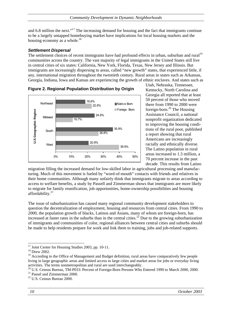*Community Development in Dynamic Neighborhoods* 

and 6.8 million the next."<sup>17</sup> The increasing demand for housing and the fact that immigrants continue to be a largely untapped homebuying market have implications for local housing markets and the housing economy as a whole.<sup>18</sup>

#### *Settlement Dispersal*

The settlement choices of recent immigrants have had profound effects in urban, suburban and rural<sup>19</sup> communities across the country. The vast majority of legal immigrants in the United States still live in central cities of six states: California, New York, Florida, Texas, New Jersey and Illinois. But immigrants are increasingly dispersing to areas, called "new growth" states, that experienced little, if any, international migration throughout the twentieth century. Rural areas in states such as Arkansas, Georgia, Indiana, Iowa and Kansas are experiencing the growth of ethnic enclaves. And states such as





Utah, Nebraska, Tennessee, Kentucky, North Carolina and Georgia all reported that at least 50 percent of those who moved there from 1990 to 2000 were foreign-born.<sup>20</sup> The Housing Assistance Council, a national nonprofit organization dedicated to improving the housing conditions of the rural poor, published a report showing that rural Americans are increasingly racially and ethnically diverse. The Latino population in rural areas increased to 1.3 million, a 70 percent increase in the past decade. This results from Latino

migration filling the increased demand for low-skilled labor in agricultural processing and manufacturing. Much of this movement is fueled by "word-of-mouth" contacts with friends and relatives in their home communities. Although many unfairly think that immigrants migrate to areas according to access to welfare benefits, a study by Passell and Zimmerman shows that immigrants are more likely to migrate for family reunification, job opportunities, home-ownership possibilities and housing affordability.<sup>21</sup>

The issue of suburbanization has caused many regional community development stakeholders to question the decentralization of employment, housing and resources from central cities. From 1990 to 2000, the population growth of blacks, Latinos and Asians, many of whom are foreign-born, has increased at faster rates in the suburbs than in the central cities.<sup>22</sup> Due to the growing suburbanization of immigrants and communities of color, regional alliances between central cities and suburbs should be made to help residents prepare for work and link them to training, jobs and job-related supports.

<sup>&</sup>lt;sup>17</sup> Joint Center for Housing Studies 2003, pp. 10-11.

<sup>18</sup> Drew 2002.

<sup>&</sup>lt;sup>19</sup> According to the Office of Management and Budget definition, rural areas have comparatively few people living in large geographic areas and limited access to large cities and market areas for jobs or everyday living activities. The terms nonmetropolitan and rural are used interchangeably.<br><sup>20</sup> U.S. Census Bureau, TM-P033: Percent of Foreign-Born Persons Who Entered 1990 to March 2000, 2000.

<sup>21</sup> Passel and Zimmerman 2000.

<sup>22</sup> U.S. Census Bureau 2000.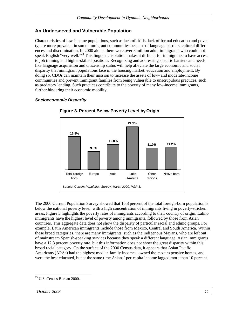#### **An Underserved and Vulnerable Population**

Characteristics of low-income populations, such as lack of skills, lack of formal education and poverty, are more prevalent in some immigrant communities because of language barriers, cultural differences and discrimination. In 2000 alone, there were over 8 million adult immigrants who could not speak English "very well."<sup>23</sup> This linguistic isolation makes it difficult for immigrants to have access to job training and higher-skilled positions. Recognizing and addressing specific barriers and needs like language acquisition and citizenship status will help alleviate the large economic and social disparity that immigrant populations face in the housing market, education and employment. By doing so, CDOs can maintain their mission to increase the assets of low- and moderate-income communities and prevent immigrant families from being vulnerable to unscrupulous practices, such as predatory lending. Such practices contribute to the poverty of many low-income immigrants, further hindering their economic mobility.

#### *Socioeconomic Disparity*



**Figure 3. Percent Below Poverty Level by Origin**

The 2000 Current Population Survey showed that 16.8 percent of the total foreign-born population is below the national poverty level, with a high concentration of immigrants living in poverty-stricken areas. Figure 3 highlights the poverty rates of immigrants according to their country of origin. Latino immigrants have the highest level of poverty among immigrants, followed by those from Asian countries. This aggregate data does not show the disparity of particular racial and ethnic groups. For example, Latin American immigrants include those from Mexico, Central and South America. Within these broad categories, there are many immigrants, such as the indigenous Mayans, who are left out of mainstream Spanish-speaking services because they speak a different language. Asian immigrants have a 12.8 percent poverty rate, but this information does not show the great disparity within this broad racial category. On the surface of the 2000 Census data, it appears that Asian Pacific Americans (APAs) had the highest median family incomes, owned the most expensive homes, and were the best educated, but at the same time Asians' per-capita income lagged more than 10 percent

 $\overline{a}$ 23 U.S. Census Bureau 2000.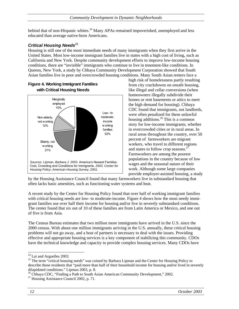behind that of non-Hispanic whites.<sup>24</sup> Many APAs remained impoverished, unemployed and less educated than average native-born Americans.

#### **Critical Housing Needs**<sup>25</sup>

Housing is still one of the most immediate needs of many immigrants when they first arrive in the United States. Most low-income immigrant families live in states with a high cost of living, such as California and New York. Despite community development efforts to improve low-income housing conditions, there are "invisible" immigrants who continue to live in tenement-like conditions. In Queens, New York, a study by Chhaya Community Development Corporation showed that South Asian families live in poor and overcrowded housing conditions. Many South Asian renters face a



# **Figure 4. Working Immigrant Families**

high risk of homelessness partly resulting from city crackdowns on unsafe housing, like illegal and cellar conversions (when homeowners illegally subdivide their homes or rent basements or attics to meet the high demand for housing). Chhaya CDC found that immigrants, not landlords, were often penalized for these unlawful housing additions.26 This is a common story for low-income immigrants, whether in overcrowded cities or in rural areas. In rural areas throughout the country, over 50 percent of farmworkers are migrant workers, who travel to different regions and states to follow crop seasons.<sup>27</sup> Farmworkers are among the poorest populations in the country because of low wages and the seasonal nature of their work. Although some large companies provide employer-assisted housing, a study

by the Housing Assistance Council found that many farmworkers live in substandard housing that often lacks basic amenities, such as functioning water systems and heat.

A recent study by the Center for Housing Policy found that over half of working immigrant families with critical housing needs are low- to moderate-income. Figure 4 shows how the most needy immigrant families use over half their income for housing and/or live in severely substandard conditions. The center found that six out of 10 of these families are from Latin America or Mexico, and one out of five is from Asia.

The Census Bureau estimates that two million more immigrants have arrived in the U.S. since the 2000 census. With about one million immigrants arriving in the U.S. annually, these critical housing problems will not go away, and a host of partners is necessary to deal with the issues. Providing effective and appropriate housing services is a key component of stabilizing this community. CDOs have the technical knowledge and capacity to provide complex housing services. Many CDOs have

l  $24$  Lai and Arguelles 2003.

<sup>&</sup>lt;sup>25</sup> The term "critical housing needs" was coined by Barbara Lipman and the Center for Housing Policy to describe those residents that "paid more than half of their household income for housing and/or lived in severely dilapidated conditions." Lipman 2003, p. 8.

<sup>&</sup>lt;sup>26</sup> Chhaya CDC, "Finding a Path to South Asian American Community Development," 2002.

 $27$  Housing Assistance Council 2002, p. 71.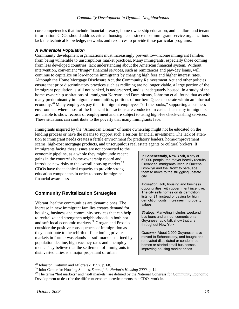core competencies that include financial literacy, home-ownership education, and landlord and tenant information. CDOs should address critical housing needs since most immigrant service organizations lack the technical knowledge, networks and resources to provide these particular programs.

#### *A Vulnerable Population*

Community development organizations must increasingly prevent low-income immigrant families from being vulnerable to unscrupulous market practices. Many immigrants, especially those coming from less developed countries, lack understanding about the American financial system. Without intervention, convenient "fringe" financial services, such as remittances and pay-day loans, will continue to capitalize on low-income immigrants by charging high fees and higher interest rates. Although the Home Mortgage Disclosure Act, the Community Reinvestment Act and other policies ensure that prior discriminatory practices such as redlining are no longer viable, a large portion of the immigrant population is still not banked, is underserved, and is inadequately housed. In a study of the home-ownership aspirations of immigrant Koreans and Dominicans, Johnston et al. found that as with many predominantly immigrant communities, portions of northern Queens operate within an informal economy.<sup>28</sup> Many employers pay their immigrant employees "off the books," supporting a business environment where most of the financial transactions are conducted in cash. Thus many immigrants are unable to show records of employment and are subject to using high-fee check-cashing services. These situations can contribute to the poverty that many immigrants face.

Immigrants inspired by the "American Dream" of home ownership might not be educated on the lending process or have the means to support such a serious financial investment. The lack of attention to immigrant needs creates a fertile environment for predatory lenders, home-improvement scams, high-cost mortgage products, and unscrupulous real estate agents or cultural brokers. If

immigrants facing these issues are not connected to the economic pipeline, as a whole they might undo recent gains in the country's home-ownership record and introduce new risks to the overall housing market.<sup>29</sup> CDOs have the technical capacity to provide strong education components in order to boost immigrant financial awareness.

#### **Community Revitalization Strategies**

Vibrant, healthy communities are dynamic ones. The increase in new immigrant families creates demand for housing, business and community services that can help to revitalize and strengthen neighborhoods in both hot and soft local economic markets.30 Grogan and Proscio consider the positive consequences of immigration as they contribute to the rebirth of functioning private markets in former wastelands — soft markets defined by population decline, high vacancy rates and unemployment. They believe that the settlement of immigrants in disinvested cities is a major propellant of urban

In **Schenectady, New York,** a city of 62,000 people, the mayor heavily recruits Guyanese immigrants living in Queens, Brooklyn and the Bronx to persuade them to move to the struggling upstate city.

*Motivation:* Job, housing and business opportunities, with government incentive. The city sells homes on its demolition lists for \$1, instead of paying for high demolition costs. Increases in property values.

*Strategy:* Marketing includes weekend bus tours and announcements on a Guyanese radio talk show that airs throughout New York.

*Outcome:* About 2,000 Guyanese have moved to Schenectady, and bought and renovated dilapidated or condemned homes or started small businesses, improving housing market prices.

<sup>&</sup>lt;sup>28</sup> Johnston, Katimin and Milczarski 1997, p. 68.<br><sup>29</sup> Joint Center for Housing Studies, *State of the Nation's Housing 2000*, p. 14.

<sup>&</sup>lt;sup>30</sup> The terms "hot markets" and "soft markets" are defined by the National Congress for Community Economic Development to describe the different economic environments that CDOs work in.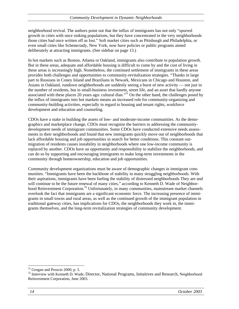neighborhood revival. The authors point out that the influx of immigrants has not only "spurred growth in cities with once sinking populations, but they have concentrated in the very neighborhoods those cities had once written off as lost." Soft market cities such as Pittsburgh and Philadelphia, or even small cities like Schenectady, New York, now have policies or public programs aimed deliberately at attracting immigrants. (See sidebar on page 13.)

In hot markets such as Boston, Atlanta or Oakland, immigrants also contribute to population growth. But in these areas, adequate and affordable housing is difficult to come by and the cost of living in these areas is increasingly high. Nonetheless, the continued settlement of immigrants in these areas provides both challenges and opportunities to community-revitalization strategies. "Thanks in large part to Russians in Coney Island and Brazilians in Newark, Mexicans in Chicago and Houston, and Asians in Oakland, rundown neighborhoods are suddenly seeing a burst of new activity — not just in the number of residents, but in small-business investment, street life, and an asset that hardly anyone associated with these places 20 years ago: cultural élan."<sup>31</sup> On the other hand, the challenges posed by the influx of immigrants into hot markets means an increased role for community-organizing and community-building activities, especially in regard to housing and tenant rights, workforce development and education and counseling.

CDOs have a stake in building the assets of low- and moderate-income communities. As the demographics and marketplace change, CDOs must recognize the barriers to addressing the communitydevelopment needs of immigrant communities. Some CDOs have conducted extensive needs assessments in their neighborhoods and found that new immigrants quickly move out of neighborhoods that lack affordable housing and job opportunities in search for better conditions. This constant outmigration of residents causes instability in neighborhoods where one low-income community is replaced by another. CDOs have an opportunity and responsibility to stabilize the neighborhoods, and can do so by supporting and encouraging immigrants to make long-term investments in the community through homeownership, education and job opportunities.

Community development organizations must be aware of demographic changes in immigrant communities. "Immigrants have been the backbone of stability in many struggling neighborhoods. With their aspirations, immigrants have been fueling the stability of distressed neighborhoods They are and will continue to be the future renewal of many cities," according to Kenneth D. Wade of Neighborhood Reinvestment Corporation.<sup>32</sup> Unfortunately, in many communities, mainstream market channels overlook the fact that immigrants are a significant economic force. The increasing presence of immigrants in small towns and rural areas, as well as the continued growth of the immigrant population in traditional gateway cities, has implications for CDOs, the neighborhoods they work in, the immigrants themselves, and the long-term revitalization strategies of community development.

l  $31$  Grogan and Proscio 2000, p. 5.

<sup>&</sup>lt;sup>32</sup> Interview with Kenneth D. Wade, Director, National Programs, Initaitives and Research, Neighborhood Reinvestment Corporation, June 2003.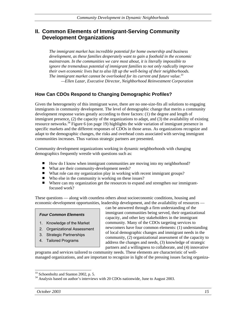# **II. Common Elements of Immigrant-Serving Community Development Organizations**

*The immigrant market has incredible potential for home ownership and business development, as these families desperately want to gain a foothold in the economic mainstream. In the communities we care most about, it is literally impossible to ignore the tremendous potential of immigrant families to not only radically improve their own economic lives but to also lift up the well-being of their neighborhoods. The immigrant market cannot be overlooked for its current and future value.*<sup>33</sup>  *—Ellen Lazar, Executive Director, Neighborhood Reinvestment Corporation* 

#### **How Can CDOs Respond to Changing Demographic Profiles?**

Given the heterogeneity of this immigrant wave, there are no one-size-fits all solutions to engaging immigrants in community development. The level of demographic change that merits a community development response varies greatly according to three factors: (1) the degree and length of immigrant presence, (2) the capacity of the organizations to adapt, and (3) the availability of existing resource networks.<sup>34</sup> Figure 6 (on page 19) highlights the wide variation of immigrant presence in specific markets and the different responses of CDOs in those areas. As organizations recognize and adapt to the demographic changes, the risks and overhead costs associated with serving immigrant communities increases. Thus various strategic partners are presented.

Community development organizations working in dynamic neighborhoods with changing demographics frequently wrestle with questions such as:

- $\blacksquare$  How do I know when immigrant communities are moving into my neighborhood?
- What are their community-development needs?
- What role can my organization play in working with recent immigrant groups?
- Who else in the community is working on these issues?
- Where can my organization get the resources to expand and strengthen our immigrantfocused work?

These questions — along with countless others about socioeconomic conditions, housing and economic-development opportunities, leadership development, and the availability of resources —

#### *Four Common Elements*

- 1. Knowledge of the Market
- 2. Organizational Assessment
- 3. Strategic Partnerships
- 4. Tailored Programs

can be answered through a firm understanding of the immigrant communities being served, their organizational capacity, and other key stakeholders in the immigrant community. Many of the CDOs targeting services to newcomers have four common elements: (1) understanding of local demographic changes and immigrant needs in the community, (2) organizational assessment of the capacity to address the changes and needs, (3) knowledge of strategic partners and a willingness to collaborate, and (4) innovative

programs and services tailored to community needs. These elements are characteristic of wellmanaged organizations, and are important to recognize in light of the pressing issues facing organiza-

<sup>&</sup>lt;sup>33</sup> Schoenholtz and Stanton 2002, p. 5.

<sup>&</sup>lt;sup>34</sup> Analysis based on author's interviews with 20 CDOs nationwide, June to August 2003.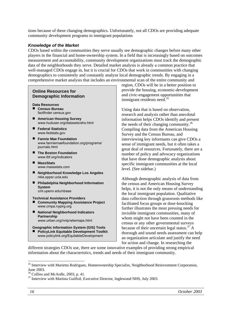tions because of these changing demographics. Unfortunately, not all CDOs are providing adequate community development programs to immigrant populations

#### *Knowledge of the Market*

CDOs based within the communities they serve usually see demographic changes before many other players in the financial and home-ownership system. In a field that is increasingly based on outcomes measurement and accountability, community development organizations must track the demographic data of the neighborhoods they serve. Detailed market analysis is already a common practice that well-managed CDOs engage in, but it is crucial for CDOs that work in communities with changing demographics to consistently and constantly analyze local demographic trends. By engaging in a comprehensive market analysis that includes an environmental scan of the entire community and

#### **Online Resources for Demographic Information**

**Data Resources Census Bureau** factfinder.census.gov

- **American Housing Survey** www.huduser.org/datasets/ahs.html
- **Federal Statistics** www.fedstats.gov
- **Fannie Mae Foundation** www.fanniemaefoundation.org/programs/ journals.html
- The Boston Foundation www.tbf.org/indicators
- **MassStats**  www.massstats.com
- **Neighborhood Knowledge Los Angeles** nkla.sppsr.ucla.edu
- **Philadelphia Neighborhood Information System** cml.upenn.edu/nbase

**Technical Assistance Providers** 

- **Community Mapping Assistance Project**  www.cmpa.nypirg.org
- National Neighborhood Indicators **Partnership**  www.urban.org/nnip/wtwmaps.html
- **Geographic Information System (GIS) Tools** ■ PolicyLink Equitable Development Toolkit www.policylink.org/EquitableDevelopment

region, CDOs will be in a better position to provide the housing, economic-development and civic-engagement opportunities that immigrant residents need.<sup>35</sup>

Using data that is based on observation, research and analysis rather than anecdotal information helps CDOs identify and present the needs of their changing community.<sup>36</sup> Compiling data from the American Housing Survey and the Census Bureau, and interviewing key informants can give CDOs a sense of immigrant needs, but it often takes a great deal of resources. Fortunately, there are a number of policy and advocacy organizations that have done demographic analysis about specific immigrant communities at the local level. (See sidebar.)

Although demographic analysis of data from the census and American Housing Survey helps, it is not the only means of understanding the local immigrant population. Qualitative data collection through grassroots methods like facilitated focus groups or door-knocking further illustrates the most pressing needs for invisible immigrant communities, many of whom might not have been counted in the census or any other governmental surveys because of their uncertain legal status.<sup>37</sup> A thorough and sound needs assessment can help an organization articulate and justify the need for action and change. In researching the

different strategies CDOs use, there are some innovative examples of providing strong empirical information about the characteristics, trends and needs of their immigrant community.

<sup>&</sup>lt;sup>35</sup> Interview with Marietta Rodriguez, Homeownership Specialist, Neighborhood Reinvestment Corporation,

June 2003.<br><sup>36</sup> Collins and McArdle, 2003, p. 41.<br><sup>37</sup> Interview with Martina Guilfoil, Executive Director, Inglewood NHS, July 2003.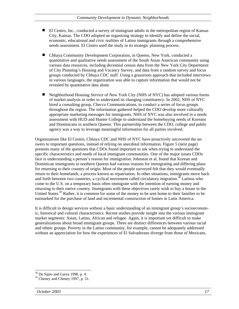- El Centro, Inc., conducted a survey of immigrant adults in the metropolitan region of Kansas City, Kansas. The CDO adopted an organizing strategy to identify and define the social, economic, educational and civic realities of Latino immigrants through a comprehensive needs assessment. El Centro used the study in its strategic planning process.
- Chhaya Community Development Corporation, in Queens, New York, conducted a quantitative and qualitative needs assessment of the South Asian American community using various data resources, including decennial census data from the New York City Department of City Planning's Housing and Vacancy Survey, and data from a random survey and focus groups conducted by Chhaya CDC staff. Using a grassroots approach that included interviews in various languages, the organization was able to capture information that would not be revealed by quantitative data alone.
- Neighborhood Housing Service of New York City (NHS of NYC) has adopted various forms of market analysis in order to understand its changing constituency. In 2002, NHS of NYC hired a consulting group, Checco Communications, to conduct a series of focus groups throughout the region. The information gathered helped the CDO develop more culturally appropriate marketing messages for immigrants. NHS of NYC was also involved in a needs assessment with HUD and Hunter College to understand the homebuying needs of Koreans and Dominicans in northern Queens. This partnership between the CDO, college and public agency was a way to leverage meaningful information for all parties involved.

Organizations like El Centro, Chhaya CDC and NHS of NYC have proactively uncovered the answers to important questions, instead of relying on anecdotal information. Figure 5 (next page) presents many of the questions that CDOs found important to ask when trying to understand the specific characteristics and needs of local immigrant communities. One of the major issues CDOs face is understanding a person's reason for immigration. Johnston et al. found that Korean and Dominican immigrants in northern Queens had various reasons for immigrating and differing plans for returning to their country of origin. Most of the people surveyed felt that they would eventually return to their homelands, a process known as repatriation. In other situations, immigrants move back and forth between two countries, a cyclical movement called circulatory migration.<sup>38</sup> Latinos who come to the U.S. on a temporary basis often immigrate with the intention of earning money and returning to their native country. Immigrants with these objectives rarely wish to buy a house in the United States.<sup>39</sup> Rather, it is common for some of the money to be sent home to their families to be earmarked for the purchase of land and incremental construction of homes in Latin America.

It is difficult to design services without a basic understanding of an immigrant group's socioeconomic, historical and cultural characteristics. Recent studies provide insight into the various immigrant market segments: Asian, Latino, African and refugee. Again, it is important yet difficult to make generalizations about broad immigrant groups. There are distinct differences between various racial and ethnic groups. Poverty in the Latino community, for example, cannot be adequately addressed without an appreciation for how the experiences of El Salvadorans diverge from those of Mexicans.

<sup>38</sup> De Sipio and Garza 1998, p. 4.

<sup>&</sup>lt;sup>39</sup> Cheney and Cheney 1997, p. 51.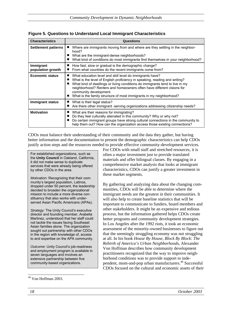| <b>Characteristics</b>         | Questions                                                                                                                                                                                                                                                                                                                                                                                        |  |  |
|--------------------------------|--------------------------------------------------------------------------------------------------------------------------------------------------------------------------------------------------------------------------------------------------------------------------------------------------------------------------------------------------------------------------------------------------|--|--|
| <b>Settlement patterns</b>     | Where are immigrants moving from and where are they settling in the neighbor-<br>hood?<br>What are the immigrant-dense neighborhoods?<br>What kind of conditions do most immigrants find themselves in your neighborhood?                                                                                                                                                                        |  |  |
| Immigrant<br>population growth | How fast, slow or gradual is the demographic change?<br>From what countries do the recent immigrants come from?                                                                                                                                                                                                                                                                                  |  |  |
| <b>Economic status</b>         | What education level and skill level do immigrants have?<br>What is the level of English proficiency in speaking, reading and writing?<br>What kind of dwellings or living conditions do immigrants tend to live in my<br>neighborhood? Renters and homeowners often have different visions for<br>community development.<br>What is the family structure of most immigrants in my neighborhood? |  |  |
| <b>Immigrant status</b>        | What is their legal status?<br>■<br>Are there other immigrant -serving organizations addressing citizenship needs?                                                                                                                                                                                                                                                                               |  |  |
| <b>Motivation</b>              | What are their reasons for immigrating?<br>Do they feel culturally alienated in this community? Why or why not?<br>Do certain immigrant groups have strong cultural connections in the community to<br>help them out? How can the organization access those existing connections?                                                                                                                |  |  |

#### **Figure 5. Questions to Understand Local Immigrant Characteristics**

CDOs must balance their understanding of their community and the data they gather, but having better information and the documentation to present the demographic characteristics can help CDOs justify action steps and the resources needed to provide effective community-development services.

For established organizations, such as the **Unity Council** in Oakland, California, it did not make sense to duplicate services that were already being offered by other CDOs in the area.

*Motivation:* Recognizing that their community's largest population, Latinos, dropped under 50 percent, the leadership decided to broaden the organizational mission to include a more diverse constituency that also works with underserved Asian Pacific Americans (APAs).

*Strategy:* The Unity Council's executive director and founding member, Arabella Martinez, understood that her staff could not tackle the issues facing Southeast Asian families alone. The organization sought out partnership with other CDOs in the region with knowledge of, access to and expertise on the APA community.

*Outcome:* Unity Council's job-readiness and employment program is available in seven languages and involves an extensive partnership between five community-based organizations.

For CDOs with small staff and stretched resources, it is often a major investment just to provide translated materials and offer bilingual classes. By engaging in a comprehensive market analysis that looks at immigrant characteristics, CDOs can justify a greater investment in these market segments.

By gathering and analyzing data about the changing communities, CDOs will be able to determine where the immigrant needs are the greatest in their communities. It will also help to create baseline statistics that will be important to communicate to funders, board members and other stakeholders. It might be an expensive and tedious process, but the information gathered helps CDOs create better programs and community development strategies. In Los Angeles after the 1992 riots, it took an economic assessment of the minority-owned businesses to figure out that the seemingly struggling economy was not struggling at all. In his book *House By House, Block By Block: The Rebirth of America's Urban Neighborhoods,* Alexander Von Hoffman describes how community development practitioners recognized that the way to improve neighborhood conditions was to provide support to independent, mom-and-pop urban manufacturers.40 Successful CDOs focused on the cultural and economic assets of their

 $40$  Von Hoffman 2003.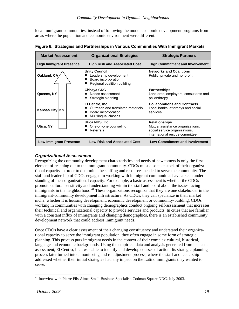local immigrant communities, instead of following the model economic development programs from areas where the population and economic environment were different.

| <b>Market Assessment</b>       | <b>Organizational Strategies</b>                                                                     | <b>Strategic Partners</b>                                                                                                   |
|--------------------------------|------------------------------------------------------------------------------------------------------|-----------------------------------------------------------------------------------------------------------------------------|
| <b>High Immigrant Presence</b> | <b>High Risk and Associated Cost</b>                                                                 | <b>High Commitment and Involvement</b>                                                                                      |
| Oakland, CA                    | <b>Unity Council</b><br>Leadership development<br>Board incorporation<br>Regional coalition building | <b>Networks and Coalitions</b><br>Public, private and nonprofit                                                             |
| Queens, NY                     | Chhaya CDC<br>Needs assessment<br>Strategic planning                                                 | <b>Partnerships</b><br>Landlords, employers, consultants and<br>philanthropy                                                |
| Kansas City, KS                | El Centro, Inc.<br>Outreach and translated materials<br>Board incorporation<br>Multilingual classes  | <b>Collaborations and Contracts</b><br>Local banks, attorneys and social<br>services                                        |
| Utica, NY                      | Utica NHS, Inc.<br>One-on-one counseling<br>Referrals<br>■                                           | <b>Relationships</b><br>Mutual assistance organizations,<br>social service organizations,<br>international rescue committee |
| <b>Low Immigrant Presence</b>  | <b>Low Risk and Associated Cost</b>                                                                  | <b>Low Commitment and Involvement</b>                                                                                       |

**Figure 6. Strategies and Partnerships in Various Communities With Immigrant Markets** 

#### *Organizational Assessment*

Recognizing the community development characteristics and needs of newcomers is only the first element of reaching out to the immigrant community. CDOs must also take stock of their organizational capacity in order to determine the staffing and resources needed to serve the community. The staff and leadership of CDOs engaged in working with immigrant communities have a keen understanding of their organizational capacity. For example, a basic assessment is whether the CDOs promote cultural sensitivity and understanding within the staff and board about the issues facing immigrants in the neighborhood.<sup>41</sup> These organizations recognize that they are one stakeholder in the immigrant-community development infrastructure. As CDOs, they can specialize in their market niche, whether it is housing development, economic development or community-building. CDOs working in communities with changing demographics conduct ongoing self-assessment that increases their technical and organizational capacity to provide services and products. In cities that are familiar with a constant influx of immigrants and changing demographics, there is an established community development network that could address immigrant needs.

Once CDOs have a clear assessment of their changing constituency and understand their organizational capacity to serve the immigrant population, they often engage in some form of strategic planning. This process puts immigrant needs in the context of their complex cultural, historical, language and economic backgrounds. Using the empirical data and analysis generated from its needs assessment, El Centro, Inc., was able to identify and develop courses of action. Its strategic planning process later turned into a monitoring and re-adjustment process, where the staff and leadership addressed whether their initial strategies had any impact on the Latino immigrants they wanted to serve.

 $\overline{a}$ <sup>41</sup> Interview with Pierre Fils-Aime, Small Business Specialist, Codman Square NDC, July 2003.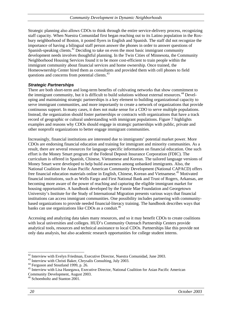Strategic planning also allows CDOs to think through the entire service-delivery process, recognizing staff capacity. When Nuestra Comunidad first began reaching out to its Latino population in the Roxbury neighborhood of Boston, it posted flyers in English and Spanish. The staff did not recognize the importance of having a bilingual staff person answer the phones in order to answer questions of Spanish-speaking clients.<sup>42</sup> Deciding to take on even the most basic immigrant community development needs involves thoughtful planning. In the Twin Cities of Minnesota, the Community Neighborhood Housing Services found it to be more cost-efficient to train people within the immigrant community about financial services and home ownership. Once trained, the Homeownership Center hired them as consultants and provided them with cell phones to field questions and concerns from potential clients.<sup>43</sup>

#### *Strategic Partnerships*

There are both short-term and long-term benefits of cultivating networks that show commitment to the immigrant community, but it is difficult to build solutions without external resources.<sup>44</sup> Developing and maintaining strategic partnerships is a key element to building organizational capacity to serve immigrant communities, and more importantly to create a network of organizations that provide continuous support. In many cases, it does not make sense for a CDO to serve multiple populations. Instead, the organization should foster partnerships or contracts with organizations that have a track record of geographic or cultural understanding with immigrant populations. Figure 7 highlights examples and reasons why CDOs should engage in strategic partnerships with public, private and other nonprofit organizations to better engage immigrant communities.

Increasingly, financial institutions are interested due to immigrants' potential market power. More CDOs are endorsing financial education and training for immigrant and minority communities. As a result, there are several resources for language-specific information on financial education. One such effort is the Money Smart program of the Federal Deposit Insurance Corporation (FDIC). The curriculum is offered in Spanish, Chinese, Vietnamese and Korean. The tailored language versions of Money Smart were developed to help build awareness among unbanked immigrants. Also, the National Coalition for Asian Pacific American Community Development (National CAPACD) offers free financial education materials online in English, Chinese, Korean and Vietnamese.45 Motivated financial institutions, such as Wells Fargo and First National Bank and Trust of Rogers, Arkansas, are becoming more aware of the power of reaching and capturing the eligible immigrant market for housing opportunities. A handbook developed by the Fannie Mae Foundation and Georgetown University's Institute for the Study of International Migration presents various ways that financial institutions can access immigrant communities. One possibility includes partnering with communitybased organizations to provide needed financial-literacy training. The handbook describes ways that banks can use organizations like CDOs as a conduit.<sup>46</sup>

Accessing and analyzing data takes many resources, and so it may benefit CDOs to create coalitions with local universities and colleges. HUD's Community Outreach Partnership Centers provide analytical tools, resources and technical assistance to local CDOs. Partnerships like this provide not only data analysis, but also academic research opportunities for college student interns.

l <sup>42</sup> Interview with Evelyn Friedman, Executive Director, Nuestra Comunidad, June 2003.<br><sup>43</sup> Interview with Christi Baker, Chrysalis Consulting, July 2003.

<sup>&</sup>lt;sup>43</sup> Interview with Christi Baker, Chrysalis Consulting, July 2003.<br><sup>44</sup> Ferguson and Stoutland 1999, p. 26.

<sup>&</sup>lt;sup>45</sup> Interview with Lisa Hasegawa, Executive Director, National Coalition for Asian Pacific American Community Development, August 2003.

<sup>&</sup>lt;sup>46</sup> Schoenholtz and Stanton 2001.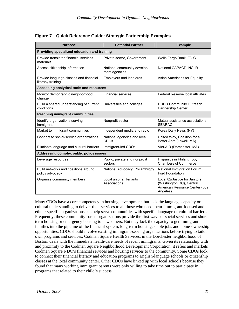| <b>Purpose</b>                                              | <b>Potential Partner</b>                        | <b>Example</b>                                                                                         |  |  |
|-------------------------------------------------------------|-------------------------------------------------|--------------------------------------------------------------------------------------------------------|--|--|
| Providing specialized education and training                |                                                 |                                                                                                        |  |  |
| Provide translated financial services<br>materials          | Private sector, Government                      | Wells Fargo Bank, FDIC                                                                                 |  |  |
| Access citizenship information                              | National community develop-<br>ment agencies    | National CAPACD, NCLR                                                                                  |  |  |
| Provide language classes and financial<br>literacy training | Employers and landlords                         | Asian Americans for Equality                                                                           |  |  |
| Accessing analytical tools and resources                    |                                                 |                                                                                                        |  |  |
| Monitor demographic neighborhood<br>change                  | <b>Financial services</b>                       | <b>Federal Reserve local affiliates</b>                                                                |  |  |
| Build a shared understanding of current<br>conditions       | Universities and colleges                       | <b>HUD's Community Outreach</b><br>Partnership Center                                                  |  |  |
| <b>Reaching immigrant communities</b>                       |                                                 |                                                                                                        |  |  |
| Identify organizations serving<br>immigrants                | Nonprofit sector                                | Mutual assistance associations.<br><b>SEARAC</b>                                                       |  |  |
| Market to immigrant communities                             | Independent media and radio                     | Korea Daily News (NY)                                                                                  |  |  |
| Connect to social-service organizations                     | National agencies and local<br>CDO <sub>s</sub> | United Way, Coalition for a<br>Better Acre (Lowell, MA)                                                |  |  |
| Eliminate language and cultural barriers                    | Immigrant-led CDOs                              | Viet-AID (Dorchester, MA)                                                                              |  |  |
| Addressing complex public policy issues                     |                                                 |                                                                                                        |  |  |
| Leverage resources                                          | Public, private and nonprofit<br>sectors        | Hispanics in Philanthropy,<br><b>Chambers of Commerce</b>                                              |  |  |
| Build networks and coalitions around<br>policy advocacy     | National Advocacy, Philanthropy                 | National Immigration Forum,<br><b>Ford Foundation</b>                                                  |  |  |
| Organize community members                                  | Local unions, Tenants<br>Associations           | Local 82/Justice for Janitors<br>(Washington DC), Central<br>American Resource Center (Los<br>Angeles) |  |  |

#### **Figure 7. Quick Reference Guide: Strategic Partnership Examples**

Many CDOs have a core competency in housing development, but lack the language capacity or cultural understanding to deliver their services to all those who need them. Immigrant-focused and ethnic-specific organizations can help serve communities with specific language or cultural barriers. Frequently, these community-based organizations provide the first wave of social services and shortterm housing or emergency housing to newcomers. But they lack the capacity to get immigrant families into the pipeline of the financial system, long-term housing, stable jobs and home-ownership opportunities. CDOs should involve existing immigrant-serving organizations before trying to tailor own programs and services. Codman Square Health Services, in the Dorchester neighborhood of Boston, deals with the immediate health-care needs of recent immigrants. Given its relationship with and proximity to the Codman Square Neighborhood Development Corporation, it refers and markets Codman Square NDC's financial services and housing services to the community. Some CDOs look to connect their financial literacy and education programs to English-language schools or citizenship classes at the local community center. Other CDOs have linked up with local schools because they found that many working immigrant parents were only willing to take time out to participate in programs that related to their child's success.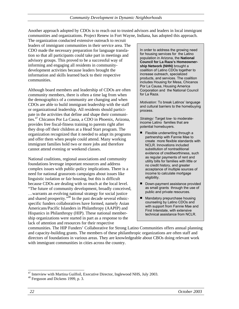Another approach adopted by CDOs is to reach out to trusted advisors and leaders in local immigrant communities and organizations. Project Renew in Fort Wayne, Indiana, has adopted this approach.

The organization conducted extensive outreach to recruit leaders of immigrant communities in their service area. The CDO made the necessary preparation for language translation so that all participants could take part in meetings and advisory groups. This proved to be a successful way of informing and engaging all residents in communitydevelopment activities because leaders brought the information and skills learned back to their respective communities.

Although board members and leadership of CDOs are often community members, there is often a time lag from when the demographics of a community are changing and when CDOs are able to build immigrant leadership with the staff or organizational leadership. All residents should participate in the activities that define and shape their communities.47 Chicanos Por La Causa, a CDO in Phoenix, Arizona, provides free fiscal-fitness training to parents right after they drop off their children at a Head Start program. The organization recognized that it needed to adapt its programs and offer them when people could attend. Many working immigrant families hold two or more jobs and therefore cannot attend evening or weekend classes.

National coalitions, regional associations and community foundations leverage important resources and address complex issues with public-policy implications. There is a need for national grassroots campaigns about issues like linguistic isolation or fair housing, but this is difficult because CDOs are dealing with so much at the local level. "The future of community development, broadly conceived, …warrants an evolving national strategy for social justice and shared prosperity."48 In the past decade several ethnicspecific funders collaboratives have formed, namely Asian Americans/Pacific Islanders in Philanthropy (AAPIP) and Hispanics in Philanthropy (HIP). These national membership organizations were started in part as a response to the lack of attention and resources for their respective

In order to address the growing need for housing services for the Latino population in Arizona, the **National Council for La Raza's Homeownership Network (NHN)** brought a coalition of Latino CDOs together to increase outreach, specialized products, and services. The coalition includes Housing for Mesa, Chicanos Por La Causa, Housing America Corporation and the National Council for La Raza.

*Motivation:* To break Latinos' language and cultural barriers to the homebuying process.

*Strategy:* Target low- to moderateincome Latino families that are potential homebuyers.

- Flexible underwriting through a partnership with Fannie Mae to create more flexible standards with NCLR. Innovations included substitution of nontraditional evidence of creditworthiness, such as regular payments of rent and utility bills for families with little or no credit history, and greater acceptance of multiple sources of income to calculate mortgage eligibility.
- Down-payment assistance provided as small grants through the use of public and private resources.
- Mandatory prepurchase housing counseling by Latino CDOs and with support from Fannie Mae and First Interstate, with extensive technical assistance from NCLR.

communities. The HIP Funders' Collaborative for Strong Latino Communities offers annual planning and capacity-building grants. The members of these philanthropic organizations are often staff and directors of foundations in various areas. They are knowledgeable about CBOs doing relevant work with immigrant communities in cities across the country.

<sup>&</sup>lt;sup>47</sup> Interview with Martina Guilfoil, Executive Director, Inglewood NHS, July 2003. <sup>48</sup> Ferguson and Dickens 1999, p. 3.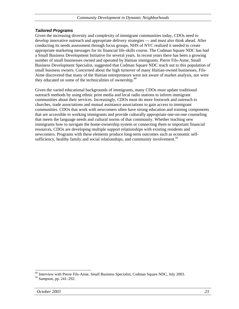#### *Tailored Programs*

Given the increasing diversity and complexity of immigrant communities today, CDOs need to develop innovative outreach and appropriate delivery strategies — and must also think ahead. After conducting its needs assessment through focus groups, NHS of NYC realized it needed to create appropriate marketing messages for its financial life-skills course. The Codman Square NDC has had a Small Business Development Initiative for several years. In recent years there has been a growing number of small businesses owned and operated by Haitian immigrants. Pierre Fils-Aime, Small Business Development Specialist, suggested that Codman Square NDC reach out to this population of small business owners. Concerned about the high turnover of many Haitian-owned businesses, Fils-Aime discovered that many of the Haitian entrepreneurs were not aware of market analysis, nor were they educated on some of the technicalities of ownership.<sup>49</sup>

Given the varied educational backgrounds of immigrants, many CDOs must update traditional outreach methods by using ethnic print media and local radio stations to inform immigrant communities about their services. Increasingly, CDOs must do more footwork and outreach to churches, trade associations and mutual assistance associations to gain access to immigrant communities. CDOs that work with newcomers often have strong education and training components that are accessible to working immigrants and provide culturally appropriate one-on-one counseling that meets the language needs and cultural norms of that community. Whether teaching new immigrants how to navigate the home-ownership system or connecting them to important financial resources, CDOs are developing multiple support relationships with existing residents and newcomers. Programs with these elements produce long-term outcomes such as economic selfsufficiency, healthy family and social relationships, and community involvement.<sup>50</sup>

<sup>&</sup>lt;sup>49</sup> Interview with Pierre Fils-Aime, Small Business Specialist, Codman Square NDC, July 2003.<br><sup>50</sup> Sampson, pp. 241–292.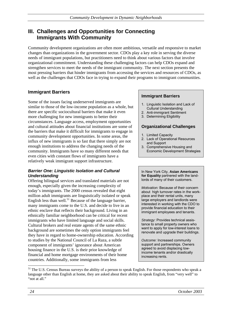# **III. Challenges and Opportunities for Connecting Immigrants With Community**

Community development organizations are often more ambitious, versatile and responsive to market changes than organizations in the government sector. CDOs play a key role in serving the diverse needs of immigrant populations, but practitioners need to think about various factors that involve organizational commitment. Understanding these challenging factors can help CDOs expand and strengthen services to meet the needs of the immigrant community. The next section presents the most pressing barriers that hinder immigrants from accessing the services and resources of CDOs, as well as the challenges that CDOs face in trying to expand their programs to immigrant communities.

#### **Immigrant Barriers**

Some of the issues facing underserved immigrants are similar to those of the low-income population as a whole, but there are specific sociocultural barriers that make it even more challenging for new immigrants to better their circumstances. Language access, employment opportunities and cultural attitudes about financial institutions are some of the barriers that make it difficult for immigrants to engage in community development opportunities. In some areas, the influx of new immigrants is so fast that there simply are not enough institutions to address the changing needs of the community. Immigrants have so many different needs that even cities with constant flows of immigrants have a relatively weak immigrant support infrastructure.

#### *Barrier One: Linguistic Isolation and Cultural Understanding*

Offering bilingual services and translated materials are not enough, especially given the increasing complexity of today's immigrants. The 2000 census revealed that eight million adult immigrants are linguistically isolated or speak English less than well.<sup>51</sup> Because of the language barrier, many immigrants come to the U.S. and decide to live in an ethnic enclave that reflects their background. Living in an ethnically familiar neighborhood can be critical for recent immigrants who have limited language and social skills. Cultural brokers and real estate agents of the same ethnic background are sometimes the only option immigrants feel they have in regard to home-ownership education. According to studies by the National Council of La Raza, a subtle component of immigrants' ignorance about American housing finance in the U.S. is their prior knowledge of financial and home mortgage environments of their home countries. Additionally, some immigrants from less

#### **Immigrant Barriers**

- 1. Linguistic Isolation and Lack of Cultural Understanding
- 2. Anti-immigrant Sentiment
- 3. Determining Eligibility

#### **Organizational Challenges**

- 1. Limited Capacity
- 2. Lack of Operational Resources and Support
- 3. Comprehensive Housing and Economic Development Strategies

In New York City, **Asian Americans for Equality** partnered with the landlords of many of their customers.

*Motivation:* Because of their concern about high turnover rates in the workplace and their rental units, many large employers and landlords were interested in working with the CDO to provide financial education to their immigrant employees and tenants.

*Strategy:* Provides technical assistance to small property owners who want to apply for low-interest loans to renovate and upgrade their buildings.

*Outcome:* Increased community support and partnerships. Owners agreed to avoid displacing lowincome tenants and/or drastically increasing rents.

l

<sup>&</sup>lt;sup>51</sup> The U.S. Census Bureau surveys the ability of a person to speak English. For those respondents who speak a language other than English at home, they are asked about their ability to speak English, from "very well" to "not at all."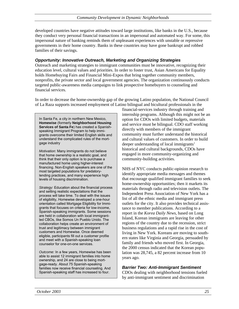developed countries have negative attitudes toward large institutions, like banks in the U.S., because they conduct very personal financial transactions in an impersonal and automated way. For some, this impersonal nature of banking reminds them of unpleasant experiences with unstable or repressive governments in their home country. Banks in these countries may have gone bankrupt and robbed families of their savings.

#### *Opportunity: Innovative Outreach, Marketing and Organizing Strategies*

Outreach and marketing strategies to immigrant communities must be innovative, recognizing their education level, cultural values and priorities. In order to foster trust, Asian Americans for Equality holds Homebuying Fairs and Financial Mini-Expos that bring together community members, nonprofits, the private sector and local government agencies. The organization continuously conducts targeted public-awareness media campaigns to link prospective homebuyers to counseling and financial services.

In order to decrease the home-ownership gap of the growing Latino population, the National Council of La Raza supports increased employment of Latino bilingual and bicultural professionals in the

In Santa Fe, a city in northern New Mexico, **Homewise** (formerly **Neighborhood Housing Services of Santa Fe**) has created a Spanishspeaking Immigrant Program to help immigrants overcome their limited English skills and understand the complicated rules of the mortgage industry

*Motivation:* Many immigrants do not believe that home ownership is a realistic goal, and think that their only option is to purchase a manufactured home using higher-interest financing. Non-English speakers are one of the most targeted populations for predatorylending practices, and many experience high levels of housing discrimination.

*Strategy:* Education about the financial process and setting realistic expectations that the process will take time. To deal with the issues of eligibility, Homewise developed a one-hour orientation called Mortgage Eligibility for Immigrants that focuses on criteria for low-income, Spanish-speaking immigrants. Some sessions are held in collaboration with local immigrantled CBOs, like Somos Un Pueblo Unido. The collaboration helps create an environment of trust and legitimacy between immigrant customers and Homewise. Once deemed eligible, participants fill out a customer profile and meet with a Spanish-speaking loan counselor for one-on-one services.

*Outcome:* In a few years, Homewise has been able to assist 12 immigrant families into home ownership, and 24 are close to being mortgage-ready. About 75 Spanish-speaking families now receive financial counseling. And Spanish-speaking staff has increased to four.

financial-services industry through training and internship programs. Although this might not be an option for CDOs with limited budgets, materials and service must be bilingual. CDO staff working directly with members of the immigrant community must further understand the historical and cultural values of customers. In order to build deeper understanding of local immigrants' historical and cultural backgrounds, CDOs have engaged in more community-organizing and community-building activities.

NHS of NYC conducts public-opinion research to identify appropriate media messages and themes that encourage qualified immigrant families to seek home-ownership opportunities; then it markets its materials through radio and television outlets. The Independent Press Association of New York has a list of all the ethnic media and immigrant press outlets for the city. It also provides technical assistance to member publications. According to a report in the *Korea Daily News,* based on Long Island, Korean immigrants are leaving for other regions of the country due to the recession, strict business regulations and a rapid rise in the cost of living in New York. Koreans are moving to southern states like Virginia and Georgia, persuaded by family and friends who moved first. In Georgia, the 2000 census indicated that the Korean population was 28,745, a 82 percent increase from 10 years ago.

#### *Barrier Two: Anti-Immigrant Sentiment*

CDOs dealing with neighborhood tensions fueled by anti-immigrant sentiment and discrimination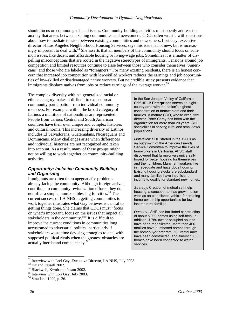should focus on common goals and issues. Community-building activities must openly address the anxiety that arises between existing communities and newcomers. CDOs often wrestle with questions about how to mediate tension between existing communities and newcomers. Lori Gay, executive director of Los Angeles Neighborhood Housing Services, says this issue is not new, but is increasingly important to deal with.<sup>52</sup> She asserts that all members of the community should focus on common issues, like decent and affordable housing or living-wage jobs. Sometimes it is a matter of dispelling misconceptions that are rooted in the negative stereotypes of immigrants. Tensions around job competition and limited resources continue to arise between those who consider themselves "Americans" and those who are labeled as "foreigners." For many existing residents, there is an honest concern that increased job competition with low-skilled workers reduces the earnings and job opportunities of low-skilled or disadvantaged native workers. But no credible study presents evidence that immigrants displace natives from jobs or reduce earnings of the average worker.<sup>53</sup>

The complex diversity within a generalized racial or ethnic category makes it difficult to expect broad community participation from individual community members. For example, within the broad category of Latinos a multitude of nationalities are represented. People from various Central and South American countries have their own unique and complex histories and cultural norms. This increasing diversity of Latinos includes El Salvadorans, Guatemalans, Nicaraguans and Dominicans. Many challenges arise when differences and individual histories are not recognized and taken into account. As a result, many of these groups might not be willing to work together on community-building activities.

#### *Opportunity: Inclusive Community-Building and Organizing*

Immigrants are often the scapegoats for problems already facing the community. Although foreign arrivals contribute to community revitalization efforts, they do not offer a simple, unmixed blessing for cities.<sup>54</sup> The current success of LA NHS in getting communities to work together illustrates what Gay believes is central to getting things done. She claims that CDOs must "focus on what's important, focus on the issues that impact all stakeholders in the community."<sup>55</sup> It is difficult to improve the current conditions in communities long accustomed to adversarial politics, particularly if stakeholders waste time devising strategies to deal with supposed political rivals when the greatest obstacles are actually inertia and complacency.<sup>56</sup>

In the San Joaquin Valley of California, **Self-HELP Enterprises** serves an eightcounty area with the nation's highest concentration of farmworkers and their families. A mature CDO, whose executive director, Peter Carey has been with the organization for more than 20 years, SHE specializes in serving rural and small-town populations.

*Motivation:* SHE started in the 1960s as an outgrowth of the American Friends Service Committee to improve the lives of farmworkers in California. AFSC staff discovered that farmworkers universally hoped for better housing for themselves and their children. Many farmworkers live in inadequate and hazardous housing. Existing housing stocks are substandard and many families have insufficient income to qualify for standard new homes.

*Strategy:* Creation of mutual self-help housing, a concept that has grown nationwide as an established vehicle for creating home-ownership opportunities for lowincome rural families.

*Outcome:* SHE has facilitated construction of about 5,000 homes using self-help. In addition, 4,750 owner-occupied houses have been rehabilitated. More than 400 families have purchased homes through the homebuyer program, 503 rental units have been constructed, and almost 18,000 homes have been connected to water services.

 $52$  Interview with Lori Gay, Executive Director, LA NHS, July 2003.

<sup>53</sup> Fix and Passell 2002.

<sup>54</sup> Blackwell, Kwoh and Pastor 2002.

<sup>55</sup> Interview with Lori Gay, July 2003.

<sup>56</sup> Stoutland 1999, p. 26.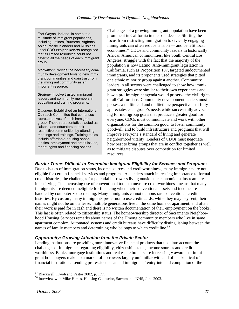Fort Wayne, Indiana, is home to a multitude of immigrant populations, including Latinos, Burmese, Afghans, Asian Pacific Islanders and Russians. Local CDO **Project Renew** recognized that its limited resources could not cater to all the needs of each immigrant group.

*Motivation:* Provide the necessary community development tools to new immigrant communities and gain trust from the immigrant community as an important resource.

*Strategy:* Involve trusted immigrant leaders and community members in education and training programs.

*Outcome:* Established an International Outreach Committee that comprises representatives of each immigrant group. These representatives acted as liaisons and educators to their respective communities by attending meetings and trainings. Training topics include affordable-housing opportunities, employment and credit issues, tenant rights and financing options.

Challenges of a growing immigrant population have been prominent in California in the past decade. Shifting the focus from restricting immigration to civically engaging immigrants can often reduce tension — and benefit local economies.57 CDOs and community leaders in historically African American communities, like South Central Los Angeles, struggle with the fact that the majority of the population is now Latino. Anti-immigrant legislation in California, such as Proposition 187, targeted undocumented immigrants, and its proponents used strategies that pitted one ethnic minority group against another. Community leaders in all sectors were challenged to show how immigrant struggles were similar to their own experiences and how a pro-immigrant agenda would preserve the civil rights of all Californians. Community development leaders must possess a multiracial and multiethnic perspective that fully appreciates each group's needs while successfully advocating for multigroup goals that produce a greater good for everyone. CDOs must communicate and work with other organizations for the common good, to foster community goodwill, and to build infrastructure and programs that will improve everyone's standard of living and generate neighborhood vitality. Leaders of CDOs must negotiate how best to bring groups that are in conflict together as well as to mitigate disputes over competition for limited resources.

#### *Barrier Three: Difficult-to-Determine Immigrant Eligibility for Services and Programs*

Due to issues of immigration status, income sources and creditworthiness, many immigrants are not eligible for certain financial services and programs. As lenders attach increasing importance to formal credit histories, the challenges for potential borrowers living outside the economic mainstream are intensifying. The increasing use of conventional tools to measure creditworthiness means that many immigrants are deemed ineligible for financing when their conventional assets and income are handled by computerized screening. Many immigrants cannot demonstrate conventional credit histories. By custom, many immigrants prefer not to use credit cards; while they may pay rent, their names might not be on the lease; multiple generations live in the same home or apartment; and often their work is paid for in cash and there is no written documentation of their employment on the books. This last is often related to citizenship status. The homeownership director of Sacramento Neighborhood Housing Services remarks about names of the Hmong community members who live in same apartment complex. Automated systems and credit bureaus have difficulty distinguishing between the names of family members and determining who belongs to which credit line.<sup>58</sup>

#### *Opportunity: Growing Attention from the Private Sector*

Lending institutions are providing more innovative financial products that take into account the challenges of immigrants regarding eligibility, citizenship status, income sources and creditworthiness. Banks, mortgage institutions and real estate brokers are increasingly aware that immigrant homebuyers make up a market of borrowers largely unfamiliar with and often skeptical of financial institutions. Lending professionals can aid immigrants' entry into and completion of the

<sup>&</sup>lt;sup>57</sup> Blackwell, Kwoh and Pastor 2002, p. 177.

<sup>&</sup>lt;sup>58</sup> Interview with Mike Himes, Housing Counselor, Sacramento NHS, June 2003.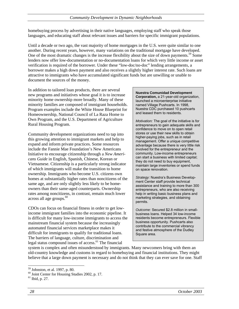homebuying process by advertising in their native languages, employing staff who speak those languages, and educating staff about relevant issues and barriers for specific immigrant populations.

Until a decade or two ago, the vast majority of home mortgages in the U.S. were quite similar to one another. During recent years, however, many variations on the traditional mortgage have developed. One of the most dramatic changes is the increase flexibility about the size of down payments.<sup>59</sup> Some lenders now offer low-documentation or no-documentation loans for which very little income or asset verification is required of the borrower. Under these "low-doc/no-doc" lending arrangements, a borrower makes a high down payment and also receives a slightly higher interest rate. Such loans are attractive to immigrants who have accumulated significant funds but are unwilling or unable to document the sources of the money.

In addition to tailored loan products, there are several new programs and initiatives whose goal it is to increase minority home ownership more broadly. Many of these minority families are composed of immigrant households. Program examples include the White House Blueprint for Homeownership, National Council of La Raza Home to Own Program, and the U.S. Department of Agriculture Rural Housing Program.

Community development organizations need to tap into this growing attention to immigrant markets and help to expand and inform private practices. Some resources include the Fannie Mae Foundation's New Americans Initiative to encourage citizenship through a *New Americans Guide* in English, Spanish, Chinese, Korean or Vietnamese. Citizenship is a particularly strong indicator of which immigrants will make the transition to home ownership. Immigrants who become U.S. citizens own homes at substantially higher rates than noncitizens of the same age, and are only slightly less likely to be homeowners than their same-aged counterparts. Ownership rates among noncitizens, in contrast, remain much lower across all age groups.<sup>60</sup>

CDOs can focus on financial fitness in order to get lowincome immigrant families into the economic pipeline. It is difficult for many low-income immigrants to access the mainstream financial system because the increasingly automated financial services marketplace makes it difficult for immigrants to qualify for traditional loans. The barriers of language, culture, discrimination and legal status compound issues of access. $<sup>61</sup>$  The financial</sup>

**Nuestra Comunidad Development Corporation,** a 21-year-old organization, launched a microenterprise initiative named Village Pushcarts. In 1998, Nuestra CDC purchased 10 pushcarts and leased them to residents.

*Motivation:* The goal of the initiative is for entrepreneurs to gain adequate skills and confidence to move on to open retail stores or use their new skills to obtain higher-paying jobs, such as in retail management. Offer a unique competitive advantage because there is very little risk involved for the entrepreneur and the community. Low-income entrepreneurs can start a business with limited capital; they do not need to buy equipment, maintain large inventories or spend funds on space renovation.

*Strategy:* Nuestra's Business Development Center staff provide technical assistance and training to more than 300 entrepreneurs, who are also receiving help in writing basic business plans and marketing strategies, and obtaining permits.

*Outcome:* Secured \$2.8 million in smallbusiness loans. Helped 34 low-income residents become entrepreneurs. Flexible business opportunity. Pushcarts also contribute to the commercial vibrancy and festive atmosphere of the Dudley Square area.

system is complex and often misunderstood by immigrants. Many newcomers bring with them an old-country knowledge and customs in regard to homebuying and financial institutions. They might believe that a large down payment is necessary and do not think that they can ever save for one. Staff

l

<sup>59</sup> Johnston, et al. 1997, p. 80.

<sup>60</sup> Joint Center for Housing Studies 2002, p. 17.

<sup>61</sup> Ibid, p. 27.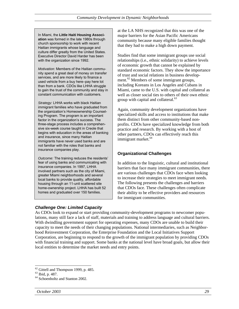In Miami, the **Little Haiti Housing Association** was formed in the late 1980s through church sponsorship to work with recent Haitian immigrants whose language and culture differ greatly from the United States. Executive Director David Harder has been with the organization since 1992.

*Motivation:* Members of the Haitian community spend a great deal of money on transfer services, and are more likely to finance a used vehicle from a buy here–pay here lot than from a bank. CDOs like LHHA struggle to gain the trust of the community and stay in constant communication with customers.

*Strategy:* LHHA works with black Haitian immigrant families who have graduated from the organization's Homeownership Counseling Program. The program is an important factor in the organization's success. The three-stage process includes a comprehensive six-week course taught in Creole that begins with education in the areas of banking and insurance, since many Haitian immigrants have never used banks and are not familiar with the roles that banks and insurance companies play.

*Outcome:* The training reduces the residents' fear of using banks and communicating with insurance companies. In 1997, LHHA involved partners such as the city of Miami, greater Miami neighborhoods and several local banks to provide quality, affordable housing through an 11-unit scattered site home-ownership project. LHHA has built 52 homes and graduated over 150 families.

#### *Challenge One: Limited Capacity*

at the LA NHS recognized that this was one of the major barriers for the Asian Pacific Americans community because many eligible families thought that they had to make a high down payment.

Studies find that some immigrant groups use social relationships (i.e., ethnic solidarity) to achieve levels of economic growth that cannot be explained by standard economic factors. They show the importance of trust and social relations in business development.<sup>62</sup> Members of some immigrant groups, including Koreans in Los Angeles and Cubans in Miami, came to the U.S. with capital and collateral as well as closer social ties to others of their own ethnic group with capital and collateral.<sup>63</sup>

Again, community development organizations have specialized skills and access to institutions that make them distinct from other community-based nonprofits. CDOs have specialized knowledge from both practice and research. By working with a host of other partners, CDOs can effectively reach this immigrant market.<sup>64</sup>

#### **Organizational Challenges**

In addition to the linguistic, cultural and institutional barriers that face many immigrant communities, there are various challenges that CDOs face when looking to increase their strategies to meet immigrant needs. The following presents the challenges and barriers that CDOs face. These challenges often complicate their ability to be effective providers and resources for immigrant communities.

As CDOs look to expand or start providing community-development programs to newcomer populations, many still face a lack of staff, materials and training to address language and cultural barriers. With dwindling government support for operating expenses, many CDOs are unable to build their capacity to meet the needs of their changing populations. National intermediaries, such as Neighborhood Reinvestment Corporation, the Enterprise Foundation and the Local Initiatives Support Corporation, are beginning to respond to the growth of the immigrant population by providing CDOs with financial training and support. Some banks at the national level have broad goals, but allow their local entities to determine the market needs and entry points.

l  $62$  Gittell and Thompson 1999, p. 485.

<sup>63</sup> Ibid, p. 487.

<sup>64</sup> Schoenholtz and Stanton 2002.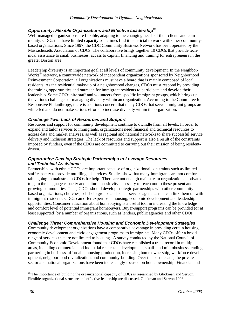#### *Opportunity: Flexible Organizations and Effective Leadership65*

Well-managed organizations are flexible, adapting to the changing needs of their clients and community. CDOs that have limited capacity sometimes find it beneficial to work with other communitybased organizations. Since 1997, the CDC Community Business Network has been operated by the Massachusetts Association of CDCs. The collaborative brings together 10 CDOs that provide technical assistance to small businesses, access to capital, financing and training for entrepreneurs in the greater Boston area.

Leadership diversity is an important goal at all levels of community development. In the Neighbor-Works<sup>®</sup> network, a countrywide network of independent organizations sponsored by Neighborhood Reinvestment Corporation, all organizations must have a board that is mainly composed of local residents. As the residential make-up of a neighborhood changes, CDOs must respond by providing the training opportunities and outreach for immigrant residents to participate and develop their leadership. Some CDOs hire staff and volunteers from specific immigrant groups, which brings up the various challenges of managing diversity within an organization. According to the Committee for Responsive Philanthropy, there is a serious concern that many CDOs that serve immigrant groups are white-led and do not make serious efforts to increase diversity within the organization.

#### *Challenge Two: Lack of Resources and Support*

Resources and support for community development continue to dwindle from all levels. In order to expand and tailor services to immigrants, organizations need financial and technical resources to access data and market analyses, as well as regional and national networks to share successful service delivery and inclusion strategies. The lack of resources and support is also a result of the constraints imposed by funders, even if the CDOs are committed to carrying out their mission of being residentdriven.

#### *Opportunity: Develop Strategic Partnerships to Leverage Resources and Technical Assistance*

Partnerships with ethnic CDOs are important because of organizational constraints such as limited staff capacity to provide multilingual services. Studies show that many immigrants are not comfortable going to mainstream CDOs for help. There are not enough mainstream organizations motivated to gain the language capacity and cultural sensitivity necessary to reach out to these present and growing communities. Thus, CDOs should develop strategic partnerships with other communitybased organizations, churches, self-help groups and social-service agencies that can link them up with immigrant residents. CDOs can offer expertise in housing, economic development and leadership opportunities. Consumer education about homebuying is a useful tool in increasing the knowledge and comfort level of potential immigrant homebuyers. Buyer-support programs can be provided (or at least supported) by a number of organizations, such as lenders, public agencies and other CDOs.

#### *Challenge Three: Comprehensive Housing and Economic Development Strategies*

Community development organizations have a comparative advantage in providing certain housing, economic-development and civic-engagement programs to immigrants. Many CDOs offer a broad range of services that are not limited to housing. A survey conducted by the National Council of Community Economic Development found that CDOs have established a track record in multiple areas, including commercial and industrial real estate development, small- and microbusiness lending, partnering in business, affordable housing production, increasing home ownership, workforce development, neighborhood revitalization, and community-building. Over the past decade, the private sector and national organizations have been increasingly focused on home ownership. Financial and

<sup>&</sup>lt;sup>65</sup> The importance of building the organizational capacity of CDCs is researched by Glickman and Servon. Flexible organizational structure and effective leadership are discussed. Glickman and Servon 1998.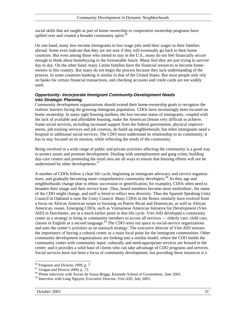social skills that are taught as part of home ownership or cooperative ownership programs have spilled over and created a broader community spirit.<sup>66</sup>

On one hand, many low-income immigrants in low-wage jobs send their wages to their families abroad. Some even indicate that they are not sure if they will eventually go back to their home countries. But even among those who intend to stay in the U.S., many do not feel financially secure enough to think about homebuying in the foreseeable future. Many feel they are just trying to survive day to day. On the other hand, many Latino families have the financial resources to become homeowners in this country. But many do not begin the process because they lack understanding of the process. In some countries banking is similar to that of the United States. But most people only rely on banks for certain financial transactions, and checking accounts and credit cards are not widely used.

#### *Opportunity: Incorporate Immigrant Community-Development Needs into Strategic Planning*

Community development organizations should extend their home-ownership goals to recognize the realistic barriers facing the growing immigrant population. CDOs have increasingly been focused on home ownership. In many tight housing markets, the low-income status of immigrants, coupled with the lack of available and affordable housing, make the American Dream very difficult to achieve. Some social services, including increased support from the federal government, physical improvements, job training services and job creation, do build up neighborhoods; but often immigrants need a hospital or additional social services. The CDO must understand its relationship to its community; it has to stay focused on its mission, while reflecting the needs of the community.

Being involved in a wide range of public and private activities affecting the community is a good way to protect assets and promote development. Dealing with unemployment and gang crime, building day-care centers and promoting the retail area are all ways to ensure that housing efforts will not be undermined by other developments.<sup>67</sup>

A number of CDOs follow a clear life cycle, beginning as immigrant advocacy and service organizations, and gradually becoming more comprehensive community developers.<sup>68</sup> As they age and neighborhoods change (due to ethnic succession or gentrification, for example), CDOs often need to broaden their image and their service base. Thus, board members become more multiethnic, the name of the CDO might change, and staff is hired to reflect new diversity. Thus the Spanish Speaking Unity Council in Oakland is now the Unity Council. Many CDOs in the Bronx similarly have evolved from a focus on African American issues to focusing on Puerto Rican and Dominican, as well as African American, issues. Emerging CDOs, such as Vietnamese American Initiative for Development (Viet-AID) in Dorchester, are at a much earlier point in that life cycle. Viet-AID developed a community center as a strategy to bring in community members to access all services — elderly care, child care, classes in English as a second language.<sup>69</sup> The CDO rents out space to social-service organizations and uses the center's activities as an outreach strategy. The executive director of Viet-AID stresses the importance of having a cultural center as a main focal point for the immigrant communities. Other community development organizations are looking into a similar model, where the CDO builds the community center with community input; culturally and need-appropriate services are housed in the center; and it provides a solid base of clients who can take advantage of CDO programs and services. Social services have not been a focus of community development, but providing these resources is a

<sup>&</sup>lt;sup>66</sup> Ferguson and Dickens 1999, p. 7.

<sup>67</sup> Grogan and Proscio 2000, p. 72.

<sup>&</sup>lt;sup>68</sup> Phone interview with Xavier de Sousa Briggs, Kennedy School of Government, June 2003.

 $69$  Interview with Long Nguyen, Executive Director, Viet-AID, July 2003.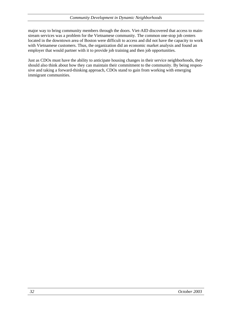major way to bring community members through the doors. Viet-AID discovered that access to mainstream services was a problem for the Vietnamese community. The common one-stop job centers located in the downtown area of Boston were difficult to access and did not have the capacity to work with Vietnamese customers. Thus, the organization did an economic market analysis and found an employer that would partner with it to provide job training and then job opportunities.

Just as CDOs must have the ability to anticipate housing changes in their service neighborhoods, they should also think about how they can maintain their commitment to the community. By being responsive and taking a forward-thinking approach, CDOs stand to gain from working with emerging immigrant communities.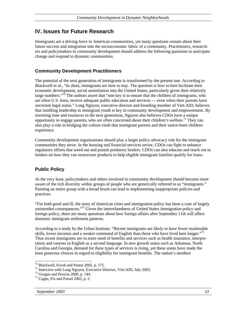### **IV. Issues for Future Research**

Immigrants are a driving force in American communities, yet many questions remain about their future success and integration into the socioeconomic fabric of a community. Practitioners, researchers and policymakers in community development should address the following questions to anticipate change and respond to dynamic communities.

#### **Community Development Practitioners**

The potential of the next generation of immigrants is transformed by the present one. According to Blackwell et al., "In short, immigrants are here to stay. The question is how to best facilitate their economic development, social assimilation into the United States, particularly given their relatively large numbers."<sup>70</sup> The authors assert that "one key is to ensure that the children of immigrants, who are often U.S. born, receive adequate public education and services — even when their parents have uncertain legal status." Long Nguyen, executive director and founding member of Viet-AID, believes that instilling leadership in immigrant youth is key in community development and empowerment. By investing time and resources in the next generation, Nguyen also believes CDOs have a unique opportunity to engage parents, who are often concerned about their children's welfare.<sup>71</sup> They can also play a role in bridging the culture clash that immigrant parents and their native-born children experience.

Community development organizations should play a larger policy advocacy role for the immigrant communities they serve. In the housing and financial-services sector, CDOs can fight to enhance regulatory efforts that weed out and punish predatory lenders. CDOs can also educate and reach out to lenders on how they can restructure products to help eligible immigrant families qualify for loans.

#### **Public Policy**

At the very least, policymakers and others involved in community development should become more aware of the rich diversity within groups of people who are generically referred to as "immigrants." Painting an entire group with a broad brush can lead to implementing inappropriate policies and practices.

"For both good and ill, the story of American cities and immigration policy has been a case of largely unintended consequences."<sup>72</sup> Given the interrelatedness of United States immigration policy and foreign policy, there are many questions about how foreign affairs after September 11th will affect domestic immigrant settlement patterns.

According to a study by the Urban Institute, "Recent immigrants are likely to have fewer marketable skills, lower incomes and a weaker command of English than those who have lived here longer."<sup>73</sup> Thus recent immigrants are in more need of benefits and services such as health insurance, interpretation and courses in English as a second language. In new growth states such as Arkansas, North Carolina and Georgia, demand for these types of services is rising, yet these states have made the least generous choices in regard to eligibility for immigrant benefits. The nation's neediest

 $70$  Blackwell, Kwoh and Pastor 2002, p. 175.

<sup>71</sup> Interview with Long Nguyen, Executive Director, Viet-AID, July 2003.

 $72$  Grogan and Proscio 2000, p. 144.

<sup>73</sup> Capps, Fix and Passel 2002, p. 2.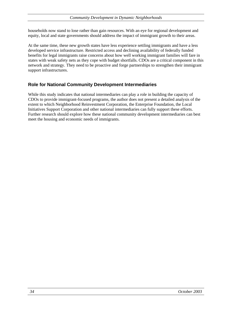households now stand to lose rather than gain resources. With an eye for regional development and equity, local and state governments should address the impact of immigrant growth to their areas.

At the same time, these new growth states have less experience settling immigrants and have a less developed service infrastructure. Restricted access and declining availability of federally funded benefits for legal immigrants raise concerns about how well working immigrant families will fare in states with weak safety nets as they cope with budget shortfalls. CDOs are a critical component in this network and strategy. They need to be proactive and forge partnerships to strengthen their immigrant support infrastructures.

#### **Role for National Community Development Intermediaries**

While this study indicates that national intermediaries can play a role in building the capacity of CDOs to provide immigrant-focused programs, the author does not present a detailed analysis of the extent to which Neighborhood Reinvestment Corporation, the Enterprise Foundation, the Local Initiatives Support Corporation and other national intermediaries can fully support these efforts. Further research should explore how these national community development intermediaries can best meet the housing and economic needs of immigrants.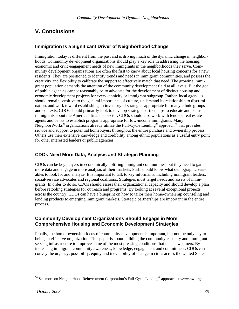# **V. Conclusions**

#### **Immigration Is a Significant Driver of Neighborhood Change**

Immigration today is different from the past and is driving much of the dynamic change in neighborhoods. Community development organizations should play a key role in addressing the housing, economic and civic-engagement needs of new immigrants in the neighborhoods they serve. Community development organizations are often the first to know about local housing concerns for a new residents. They are positioned to identify trends and needs in immigrant communities, and possess the creativity and flexibility to calibrate the support to effectively match that need. The growing immigrant population demands the attention of the community development field at all levels. But the goal of public agencies cannot reasonably be to advocate for the development of distinct housing and economic development projects for every ethnicity or immigrant subgroup. Rather, local agencies should remain sensitive to the general importance of culture, understand its relationship to discrimination, and work toward establishing an inventory of strategies appropriate for many ethnic groups and contexts. CDOs should primarily look to develop strategic partnerships to educate and counsel immigrants about the American financial sector. CDOs should also work with lenders, real estate agents and banks to establish programs appropriate for low-income immigrants. Many NeighborWorks<sup>®</sup> organizations already utilize the Full-Cycle Lending<sup>®</sup> approach<sup>74</sup> that provides service and support to potential homebuyers throughout the entire purchase and ownership process. Others use their extensive knowledge and credibility among ethnic populations as a useful entry point for other interested lenders or public agencies.

#### **CDOs Need More Data, Analysis and Strategic Planning**

CDOs can be key players in economically uplifting immigrant communities, but they need to gather more data and engage in more analysis of their markets. Staff should know what demographic variables to look for and analyze. It is important to talk to key informants, including immigrant leaders, social-service advocates and regional coalitions. Strategies must target needs and assets of immigrants. In order to do so, CDOs should assess their organizational capacity and should develop a plan before retooling strategies for outreach and programs. By looking at several exceptional projects across the country, CDOs can have a blueprint on how to tailor their home-ownership counseling and lending products to emerging immigrant markets. Strategic partnerships are important in the entire process.

#### **Community Development Organizations Should Engage in More Comprehensive Housing and Economic Development Strategies**

Finally, the home-ownership focus of community development is important, but not the only key to being an effective organization. This paper is about building the community capacity and immigrantserving infrastructure to improve some of the most pressing conditions that face newcomers. By increasing immigrant community awareness, knowledge, engagement and commitment, CDOs can convey the urgency, possibility, equity and inevitability of change in cities across the United States.

<sup>&</sup>lt;sup>74</sup> See more on Neighborhood Reinvestment Corporation's Full-Cycle Lending<sup>®</sup> approach at www.nw.org.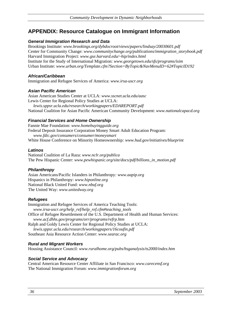# **APPENDIX: Resource Catalogue on Immigrant Information**

#### *General Immigration Research and Data*

Brookings Institute: *www.brookings.org/dybdocroot/views/papers/lindsay/20030601.pdf* Center for Community Change: *www.communitychange.org/publications/immigration\_storybook.pdf* Harvard Immigration Project: *www.gse.harvard.edu/~hip/index.html* Institute for the Study of International Migration: *www.georgetown.edu/sfs/programs/isim*  Urban Institute: *www.urban.org/Template.cfm?Section=ByTopic&NavMenuID=62#TopicID192* 

#### *African/Caribbean*

Immigration and Refugee Services of America: *www.irsa-uscr.org* 

#### *Asian Pacific American*

Asian American Studies Center at UCLA: *www.sscnet.ucla.edu/aasc* Lewis Center for Regional Policy Studies at UCLA: *lewis.sppsr.ucla.edu/research/workingpapers/EDAREPORT.pdf* National Coalition for Asian Pacific American Community Development: *www.nationalcapacd.org*

#### *Financial Services and Home Ownership*

Fannie Mae Foundation: *www.homebuyingguide.org* Federal Deposit Insurance Corporation Money Smart Adult Education Program: *www.fdic.gov/consumers/consumer/moneysmart*  White House Conference on Minority Homeownership*: www.hud.gov/initiatives/blueprint* 

#### *Latinos*

National Coalition of La Raza: *www.nclr.org/publica* The Pew Hispanic Center: *www.pewhispanic.org/site/docs/pdf/billions\_in\_motion.pdf*

#### *Philanthropy*

Asian Americans/Pacific Islanders in Philanthropy*: www.aapip.org* Hispanics in Philanthropy: *www.hiponline.org* National Black United Fund: *www.nbuf.org*  The United Way: *www.unitedway.org* 

#### *Refugees*

Immigration and Refugee Services of America Teaching Tools: *www.irsa-uscr.org/help\_ref/help\_ref.cfm#teaching\_tools*  Office of Refugee Resettlement of the U.S. Department of Health and Human Services: *www.acf.dhhs.gov/programs/orr/programs/refrp.htm*  Ralph and Goldy Lewis Center for Regional Policy Studies at UCLA: *lewis.sppsr.ucla.edu/research/workingpapers/16coufin.pdf* Southeast Asia Resource Action Center: *www.searac.org* 

#### *Rural and Migrant Workers*

Housing Assistance Council: *www.ruralhome.org/pubs/hsganalysis/ts2000/index.htm*

#### *Social Service and Advocacy*

Central American Resource Center Affiliate in San Francisco: *www.carecensf.org*  The National Immigration Forum: *www.immigrationforum.org*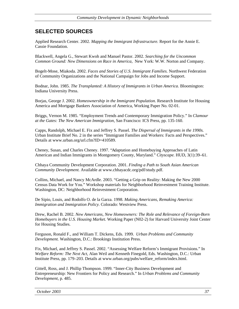# **SELECTED SOURCES**

Applied Research Center. 2002. *Mapping the Immigrant Infrastructure.* Report for the Annie E. Cassie Foundation.

Blackwell, Angela G., Stewart Kwoh and Manuel Pastor. 2002. *Searching for the Uncommon Common Ground: New Dimensions on Race in America,* New York: W.W. Norton and Company.

Bogelt-Mose, Miakoda. 2002. *Faces and Stories of U.S. Immigrant Families.* Northwest Federation of Community Organizations and the National Campaign for Jobs and Income Support.

Bodnar, John. 1985. *The Transplanted: A History of Immigrants in Urban America*. Bloomington: Indiana University Press.

Borjas, George J. 2002. *Homeownership in the Immigrant Population.* Research Institute for Housing America and Mortgage Bankers Association of America, Working Paper No. 02-01.

Briggs, Vernon M. 1985. "Employment Trends and Contemporary Immigration Policy." In *Clamour at the Gates: The New American Immigration,* San Francisco: ICS Press, pp. 135-160.

Capps, Randolph, Michael E. Fix and Jeffrey S. Passel. *The Dispersal of Immigrants in the 1990s.* Urban Institute Brief No. 2 in the series "Immigrant Families and Workers: Facts and Perspectives." Details at www.urban.org/url.cfm?ID=410589.

Cheney, Susan, and Charles Cheney. 1997. "Adaptation and Homebuying Approaches of Latin American and Indian Immigrants in Montgomery County, Maryland." *Cityscape.* HUD, 3(1):39–61.

Chhaya Community Development Corporation. 2001. *Finding a Path to South Asian American Community Development.* Available at www.chhayacdc.org/pdf/study.pdf.

Collins, Michael, and Nancy McArdle. 2003. "Getting a Grip on Reality: Making the New 2000 Census Data Work for You." Workshop materials for Neighborhood Reinvestment Training Institute. Washington, DC: Neighborhood Reinvestment Corporation.

De Sipio, Louis, and Rodolfo O. de la Garza. 1998. *Making Americans, Remaking America: Immigration and Immigration Policy.* Colorado: Westview Press.

Drew, Rachel B. 2002. *New Americans, New Homeowners: The Role and Relevance of Foreign-Born Homebuyers in the U.S. Housing Market.* Working Paper (N02-2) for Harvard University Joint Center for Housing Studies.

Ferguson, Ronald F., and William T. Dickens, Eds. 1999. *Urban Problems and Community Development.* Washington, D.C.: Brookings Institution Press.

Fix, Michael, and Jeffrey S. Passel. 2002. "Assessing Welfare Reform's Immigrant Provisions." In *Welfare Reform: The Next Act,* Alan Weil and Kenneth Finegold, Eds. Washington, D.C.: Urban Institute Press, pp. 179–203. Details at www.urban.org/pubs/welfare\_reform/index.html.

Gittell, Ross, and J. Phillip Thompson. 1999. "Inner-City Business Development and Entrepreneurship: New Frontiers for Policy and Research." In *Urban Problems and Community Development,* p. 485.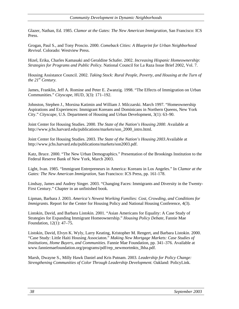Glazer, Nathan, Ed. 1985. *Clamor at the Gates: The New American Immigration,* San Francisco: ICS Press.

Grogan, Paul S., and Tony Proscio. 2000. *Comeback Cities: A Blueprint for Urban Neighborhood Revival.* Colorado: Westview Press.

Hizel, Erika, Charles Kamasaki and Geraldine Schafer. 2002. *Increasing Hispanic Homeownership: Strategies for Programs and Public Policy.* National Council for La Raza Issue Brief 2002, Vol. 7.

Housing Assistance Council. 2002. *Taking Stock: Rural People, Poverty, and Housing at the Turn of the 21st Century.* 

James, Franklin, Jeff A. Romine and Peter E. Zwanzig. 1998. "The Effects of Immigration on Urban Communities." *Cityscape,* HUD, 3(3): 171–192.

Johnston, Stephen J., Morsina Katimin and William J. Milczarski. March 1997. "Homeownership Aspirations and Experiences: Immigrant Koreans and Dominicans in Northern Queens, New York City." *Cityscape,* U.S. Department of Housing and Urban Development, 3(1): 63–90.

Joint Center for Housing Studies. 2000. *The State of the Nation's Housing 2000*. Available at http://www.jchs.harvard.edu/publications/markets/son\_2000\_intro.html.

Joint Center for Housing Studies. 2003. *The State of the Nation's Housing 2003.*Available at http://www.jchs.harvard.edu/publications/markets/son2003.pdf.

Katz, Bruce. 2000. "The New Urban Demographics." Presentation of the Brookings Institution to the Federal Reserve Bank of New York, March 2003.

Light, Ivan. 1985. "Immigrant Entrepreneurs in America: Koreans in Los Angeles." In *Clamor at the Gates: The New American Immigration,* San Francisco: ICS Press, pp. 161-178.

Lindsay, James and Audrey Singer. 2003. "Changing Faces: Immigrants and Diversity in the Twenty-First Century." Chapter in an unfinished book.

Lipman, Barbara J. 2003. *America's Newest Working Families: Cost, Crowding, and Conditions for Immigrants.* Report for the Center for Housing Policy and National Housing Conference, 4(3).

Listokin, David, and Barbara Listokin. 2001. "Asian Americans for Equality: A Case Study of Strategies for Expanding Immigrant Homeownership." *Housing Policy Debate,* Fannie Mae Foundation, 12(1): 47–75.

Listokin, David, Elvyn K. Wyly, Larry Keating, Kristopher M. Rengert, and Barbara Listokin. 2000. "Case Study: Little Haiti Housing Associaton." *Making New Mortgage Markets: Case Studies of Institutions, Home Buyers, and Communities.* Fannie Mae Foundation, pp. 341–376. Available at www.fanniemaefoundation.org/programs/pdf/rep\_newmortmkts\_lhha.pdf.

Marsh, Dwayne S., Milly Hawk Daniel and Kris Putnam. 2003. *Leadership for Policy Change: Strengthening Communities of Color Through Leadership Development.* Oakland: PolicyLink.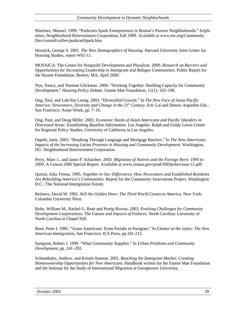Martinez, Manuel. 1999. "Pushcarts Spark Entrepreneurs in Boston's Poorest Neighborhoods." *bright ideas,* Neighborhood Reinvestment Corporation, Fall 1999. Available at www.nw.org/Community Dev/commEcoDev/pushcartSpark.htm.

Masnick, George S. 2001. *The New Demographics of Housing.* Harvard University Joint Center for Housing Studies, report W01-11.

MOSAICA: The Center for Nonprofit Development and Pluralism. 2000. *Research on Barriers and Opportunities for Increasing Leadership in Immigrant and Refugee Communities.* Public Report for the Hyams Foundation. Boston, MA, April 2000.

Nye, Nancy, and Norman Glickman. 2000. "Working Together: Building Capacity for Community Development." *Housing Policy Debate.* Fannie Mae Foundation, 11(1): 163–198.

Ong, Paul, and Loh-Sze Leung. 2003. "Diversified Growth." In *The New Face of Asian Pacific America: Newcomers, Diversity and Change in the 21st Century,* Eric Lai and Dennis Arguelles Eds., San Francisco: Asian Week, pp. 7–16.

Ong, Paul, and Doug Miller. 2002. *Economic Needs of Asian Americans and Pacific Islanders in Distressed Areas: Establishing Baseline Information.* Los Angeles: Ralph and Goldy Lewis Center for Regional Policy Studies, University of California in Los Angeles.

Oppelt, Janis. 2003. "Breaking Through Language and Mortgage Barriers." In *The New Americans: Impacts of the Increasing Latino Presence in Housing and Community Development.* Washington, DC: Neighborhood Reinvestment Corporation.

Perry, Marc J., and Jason P. Schachter. 2003. *Migration of Natives and the Foreign Born: 1995 to 2000.* A Census 2000 Special Report. Available at www.census.gov/prod/2003pubs/censr-11.pdf.

Quiroz, Julia Teresa. 1995. *Together in Our Differences: How Newcomers and Established Residents Are Rebuilding America's Communities.* Report for the Community Innovations Project. Washington D.C.: The National Immigration Forum.

Reimers, David M. 1992. *Still the Golden Door: The Third World Comes to America.* New York: Columbia University Press.

Rohe, William M., Rachel G. Bratt and Protip Biswas. 2003. *Evolving Challenges for Community Development Corporations: The Causes and Impacts of Failures.* North Carolina: University of North Carolina at Chapel Hill.

Rose, Peter I. 1985. "Asian Americans: From Pariahs to Paragons." In *Clamor at the Gates: The New American Immigration,* San Francisco: ICS Press, pp.181-212.

Sampson, Robert J. 1999. "What Community Supplies." In *Urban Problems and Community Development,* pp. 241–292.

Schoenholtz, Andrew, and Kristin Stanton. 2001. *Reaching the Immigrant Market: Creating Homeownership Opportunities for New Americans.* Handbook written for the Fannie Mae Foundation and the Institute for the Study of International Migration at Georgetown University.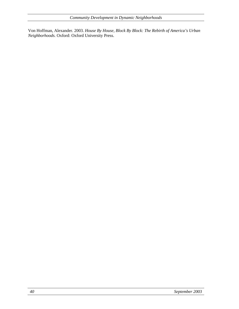Von Hoffman, Alexander. 2003. *House By House, Block By Block: The Rebirth of America's Urban Neighborhoods.* Oxford: Oxford University Press.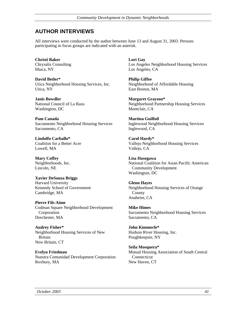# **AUTHOR INTERVIEWS**

All interviews were conducted by the author between June 13 and August 31, 2003. Persons participating in focus groups are indicated with an asterisk.

**Christi Baker**  Chrysalis Consulting Ithaca, NY

**David Betler\***  Utica Neighborhood Housing Services, Inc. Utica, NY

**Janis Bowdler**  National Council of La Raza Washington, DC

**Pam Canada** Sacramento Neighborhood Housing Services Sacramento, CA

**Lindolfo Carballo\***  Coalition for a Better Acre Lowell, MA

**Mary Coffey**  Neighborhoods, Inc. Lincoln, NE

**Xavier DeSouza Briggs**  Harvard University Kennedy School of Government Cambridge, MA

**Pierre Fils-Aime**  Codman Square Neighborhood Development Corporation Dorchester, MA

**Audrey Fisher\*** Neighborhood Housing Services of New Britain New Britain, CT

**Evelyn Friedman**  Nuestra Comunidad Development Corporation Roxbury, MA

**Lori Gay**  Los Angeles Neighborhood Housing Services Los Angeles, CA

**Philip Giffee**  Neighborhood of Affordable Housing East Boston, MA

**Margaret Grayson\***  Neighborhood Partnership Housing Services Montclair, CA

**Martina Guilfoil**  Inglewood Neighborhood Housing Services Inglewood, CA

**Carol Hardy\***  Vallejo Neighborhood Housing Services Vallejo, CA

**Lisa Hasegawa**  National Coalition for Asian Pacific American Community Development Washington, DC

#### **Glenn Hayes**

Neighborhood Housing Services of Orange County Anaheim, CA

**Mike Himes** Sacramento Neighborhood Housing Services Sacramento, CA

**John Kimmerle\***  Hudson River Housing, Inc. Poughkeepsie, NY

**Seila Mosquera\***  Mutual Housing Association of South Central **Connecticut** New Haven, CT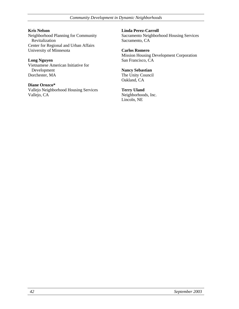*Community Development in Dynamic Neighborhoods* 

**Kris Nelson** Neighborhood Planning for Community Revitalization Center for Regional and Urban Affairs University of Minnesota

**Long Nguyen**  Vietnamese American Initiative for Development Dorchester, MA

**Diane Orozco\***  Vallejo Neighborhood Housing Services Vallejo, CA

**Linda Perez-Carroll** Sacramento Neighborhood Housing Services Sacramento, CA

**Carlos Romero**  Mission Housing Development Corporation San Francisco, CA

**Nancy Sebastian**  The Unity Council Oakland, CA

**Terry Uland**  Neighborhoods, Inc. Lincoln, NE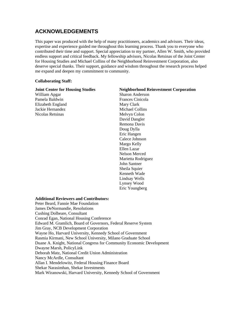# **ACKNOWLEDGEMENTS**

This paper was produced with the help of many practitioners, academics and advisors. Their ideas, expertise and experience guided me throughout this learning process. Thank you to everyone who contributed their time and support. Special appreciation to my partner, Allen W. Smith, who provided endless support and critical feedback. My fellowship advisors, Nicolas Retsinas of the Joint Center for Housing Studies and Michael Collins of the Neighborhood Reinvestment Corporation, also deserve special thanks. Their support, guidance and wisdom throughout the research process helped me expand and deepen my commitment to community.

#### **Collaborating Staff:**

| <b>Sharon Anderson</b><br>William Apgar<br>Pamela Baldwin<br>Frances Cinicola<br>Elizabeth England<br>Mary Clark<br>Jackie Hernandez<br>Michael Collins<br>Nicolas Retsinas<br>Melvyn Colon<br>David Dangler<br>Remona Davis<br>Doug Dylla<br>Eric Hangen<br>Calece Johnson | <b>Neighborhood Reinvestment Corporation</b> |
|-----------------------------------------------------------------------------------------------------------------------------------------------------------------------------------------------------------------------------------------------------------------------------|----------------------------------------------|
|                                                                                                                                                                                                                                                                             |                                              |
|                                                                                                                                                                                                                                                                             |                                              |
|                                                                                                                                                                                                                                                                             |                                              |
|                                                                                                                                                                                                                                                                             |                                              |
|                                                                                                                                                                                                                                                                             |                                              |
|                                                                                                                                                                                                                                                                             |                                              |
|                                                                                                                                                                                                                                                                             |                                              |
|                                                                                                                                                                                                                                                                             |                                              |
|                                                                                                                                                                                                                                                                             |                                              |
|                                                                                                                                                                                                                                                                             |                                              |
| Margo Kelly                                                                                                                                                                                                                                                                 |                                              |
| Ellen Lazar                                                                                                                                                                                                                                                                 |                                              |
| <b>Nelson Merced</b>                                                                                                                                                                                                                                                        |                                              |
| Marietta Rodriguez                                                                                                                                                                                                                                                          |                                              |
| John Santner                                                                                                                                                                                                                                                                |                                              |
| Sheila Squier                                                                                                                                                                                                                                                               |                                              |
| Kenneth Wade                                                                                                                                                                                                                                                                |                                              |
| Lindsay Wells                                                                                                                                                                                                                                                               |                                              |
| Lynsey Wood                                                                                                                                                                                                                                                                 |                                              |
| Eric Youngberg                                                                                                                                                                                                                                                              |                                              |
|                                                                                                                                                                                                                                                                             |                                              |

#### **Additional Reviewers and Contributors:**

Peter Beard, Fannie Mae Foundation James DeNormandie, Resolutions Cushing Dolbeare, Consultant Conrad Egan, National Housing Conference Edward M. Gramlich, Board of Governors, Federal Reserve System Jim Gray, NCB Development Corporation Wayne Ho, Harvard University, Kennedy School of Government Rasmia Kirmani, New School University, Milano Graduate School Duane A. Knight, National Congress for Community Economic Development Dwayne Marsh, PolicyLink Deborah Matz, National Credit Union Administration Nancy McArdle, Consultant Allan I. Mendelowitz, Federal Housing Finance Board Shekar Narasimhan, Shekar Investments Mark Wiranowski, Harvard University, Kennedy School of Government